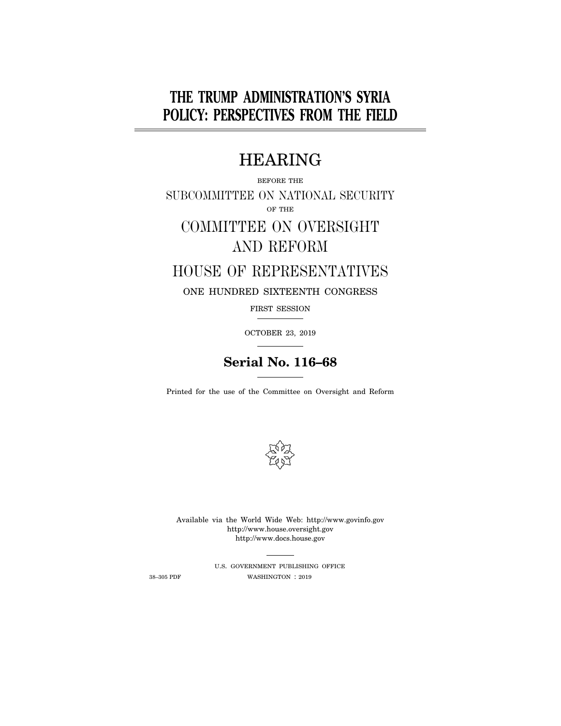# **THE TRUMP ADMINISTRATION'S SYRIA POLICY: PERSPECTIVES FROM THE FIELD**

# HEARING

# BEFORE THE SUBCOMMITTEE ON NATIONAL SECURITY OF THE COMMITTEE ON OVERSIGHT

# AND REFORM

# HOUSE OF REPRESENTATIVES

## ONE HUNDRED SIXTEENTH CONGRESS

FIRST SESSION

OCTOBER 23, 2019

# **Serial No. 116–68**

Printed for the use of the Committee on Oversight and Reform



Available via the World Wide Web: http://www.govinfo.gov http://www.house.oversight.gov http://www.docs.house.gov

U.S. GOVERNMENT PUBLISHING OFFICE 38–305 PDF WASHINGTON : 2019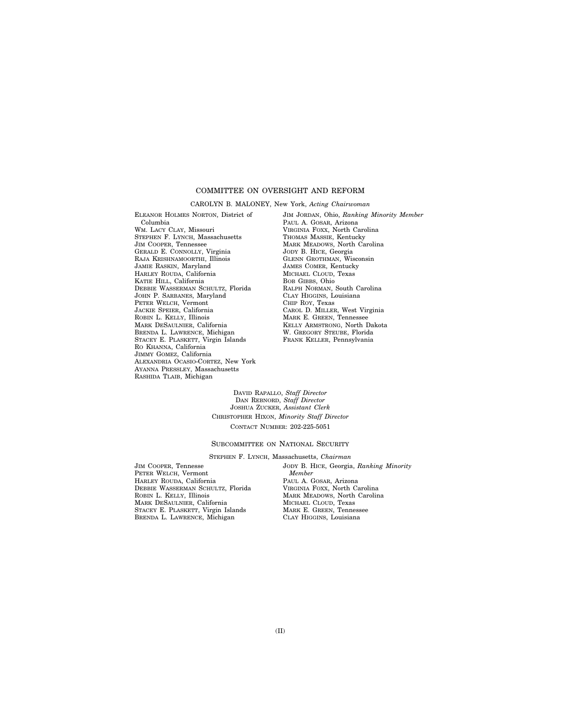## COMMITTEE ON OVERSIGHT AND REFORM

CAROLYN B. MALONEY, New York, *Acting Chairwoman* 

ELEANOR HOLMES NORTON, District of Columbia WM. LACY CLAY, Missouri STEPHEN F. LYNCH, Massachusetts JIM COOPER, Tennessee GERALD E. CONNOLLY, Virginia RAJA KRISHNAMOORTHI, Illinois JAMIE RASKIN, Maryland HARLEY ROUDA, California KATIE HILL, California DEBBIE WASSERMAN SCHULTZ, Florida JOHN P. SARBANES, Maryland PETER WELCH, Vermont JACKIE SPEIER, California ROBIN L. KELLY, Illinois MARK DESAULNIER, California BRENDA L. LAWRENCE, Michigan STACEY E. PLASKETT, Virgin Islands RO KHANNA, California JIMMY GOMEZ, California ALEXANDRIA OCASIO-CORTEZ, New York AYANNA PRESSLEY, Massachusetts RASHIDA TLAIB, Michigan

JIM JORDAN, Ohio, *Ranking Minority Member*  PAUL A. GOSAR, Arizona VIRGINIA FOXX, North Carolina THOMAS MASSIE, Kentucky MARK MEADOWS, North Carolina JODY B. HICE, Georgia GLENN GROTHMAN, Wisconsin JAMES COMER, Kentucky MICHAEL CLOUD, Texas BOB GIBBS, Ohio RALPH NORMAN, South Carolina CLAY HIGGINS, Louisiana CHIP ROY, Texas CAROL D. MILLER, West Virginia MARK E. GREEN, Tennessee KELLY ARMSTRONG, North Dakota W. GREGORY STEUBE, Florida FRANK KELLER, Pennsylvania

DAVID RAPALLO, *Staff Director*  DAN REBNORD, *Staff Director*  JOSHUA ZUCKER, *Assistant Clerk*  CHRISTOPHER HIXON, *Minority Staff Director*  CONTACT NUMBER: 202-225-5051

SUBCOMMITTEE ON NATIONAL SECURITY

STEPHEN F. LYNCH, Massachusetts, *Chairman* 

JIM COOPER, Tennesse PETER WELCH, Vermont HARLEY ROUDA, California DEBBIE WASSERMAN SCHULTZ, Florida ROBIN L. KELLY, Illinois MARK DESAULNIER, California STACEY E. PLASKETT, Virgin Islands BRENDA L. LAWRENCE, Michigan

JODY B. HICE, Georgia, *Ranking Minority Member*  PAUL A. GOSAR, Arizona VIRGINIA FOXX, North Carolina MARK MEADOWS, North Carolina MICHAEL CLOUD, Texas MARK E. GREEN, Tennessee CLAY HIGGINS, Louisiana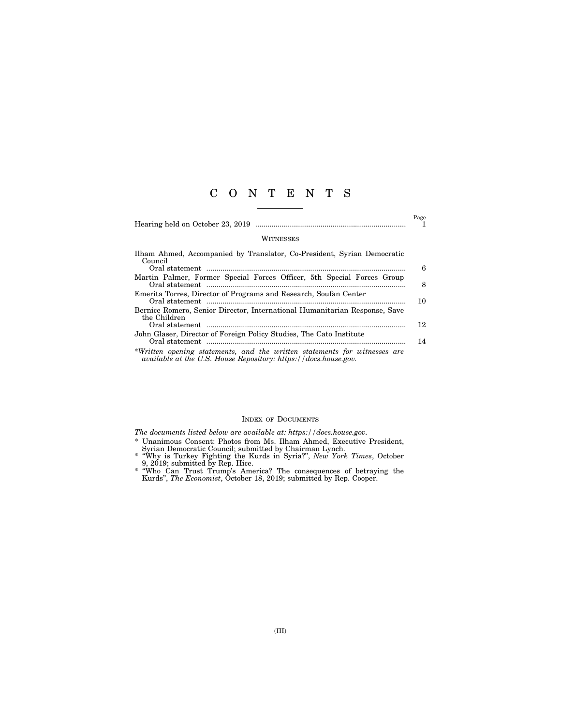# C O N T E N T S

Hearing held on October 23, 2019 .......................................................................... 1

Page

#### **WITNESSES**

| Ilham Ahmed, Accompanied by Translator, Co-President, Syrian Democratic<br>Council                                                           |    |
|----------------------------------------------------------------------------------------------------------------------------------------------|----|
|                                                                                                                                              | 6  |
| Martin Palmer, Former Special Forces Officer, 5th Special Forces Group                                                                       | 8  |
| Emerita Torres, Director of Programs and Research, Soufan Center                                                                             | 10 |
| Bernice Romero, Senior Director, International Humanitarian Response, Save<br>the Children                                                   | 12 |
| John Glaser, Director of Foreign Policy Studies, The Cato Institute                                                                          | 14 |
| *Written opening statements, and the written statements for witnesses are<br>available at the U.S. House Repository: https://docs.house.gov. |    |

### INDEX OF DOCUMENTS

*The documents listed below are available at: https://docs.house.gov.* 

- \* Unanimous Consent: Photos from Ms. Ilham Ahmed, Executive President, Syrian Democratic Council; submitted by Chairman Lynch.
- \* ''Why is Turkey Fighting the Kurds in Syria?'', *New York Times*, October 9, 2019; submitted by Rep. Hice.
- \* ''Who Can Trust Trump's America? The consequences of betraying the Kurds'', *The Economist*, October 18, 2019; submitted by Rep. Cooper.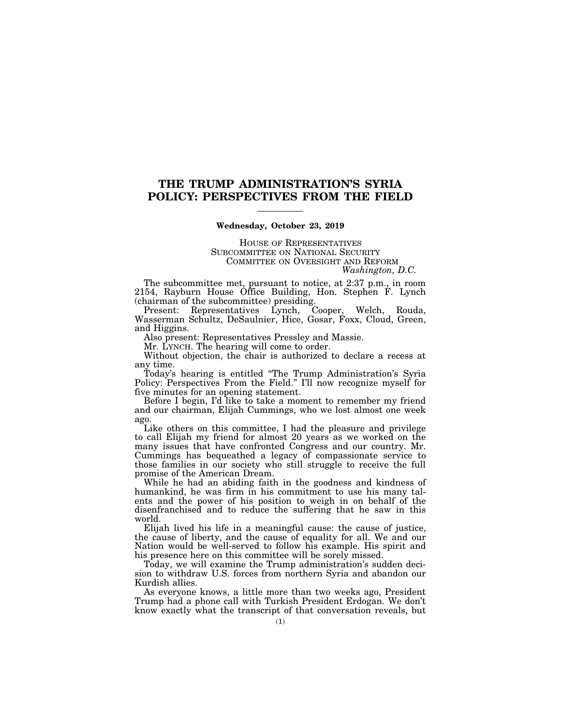# **THE TRUMP ADMINISTRATION'S SYRIA POLICY: PERSPECTIVES FROM THE FIELD**

### **Wednesday, October 23, 2019**

HOUSE OF REPRESENTATIVES SUBCOMMITTEE ON NATIONAL SECURITY COMMITTEE ON OVERSIGHT AND REFORM

*Washington, D.C.* 

The subcommittee met, pursuant to notice, at 2:37 p.m., in room 2154, Rayburn House Office Building, Hon. Stephen F. Lynch (chairman of the subcommittee) presiding.

Present: Representatives Lynch, Cooper, Welch, Rouda, Wasserman Schultz, DeSaulnier, Hice, Gosar, Foxx, Cloud, Green, and Higgins.

Also present: Representatives Pressley and Massie.

Mr. LYNCH. The hearing will come to order.

Without objection, the chair is authorized to declare a recess at any time.

Today's hearing is entitled ''The Trump Administration's Syria Policy: Perspectives From the Field.'' I'll now recognize myself for five minutes for an opening statement.

Before I begin, I'd like to take a moment to remember my friend and our chairman, Elijah Cummings, who we lost almost one week ago.

Like others on this committee, I had the pleasure and privilege to call Elijah my friend for almost 20 years as we worked on the many issues that have confronted Congress and our country. Mr. Cummings has bequeathed a legacy of compassionate service to those families in our society who still struggle to receive the full promise of the American Dream.

While he had an abiding faith in the goodness and kindness of humankind, he was firm in his commitment to use his many talents and the power of his position to weigh in on behalf of the disenfranchised and to reduce the suffering that he saw in this world.

Elijah lived his life in a meaningful cause: the cause of justice, the cause of liberty, and the cause of equality for all. We and our Nation would be well-served to follow his example. His spirit and his presence here on this committee will be sorely missed.

Today, we will examine the Trump administration's sudden decision to withdraw U.S. forces from northern Syria and abandon our Kurdish allies.

As everyone knows, a little more than two weeks ago, President Trump had a phone call with Turkish President Erdogan. We don't know exactly what the transcript of that conversation reveals, but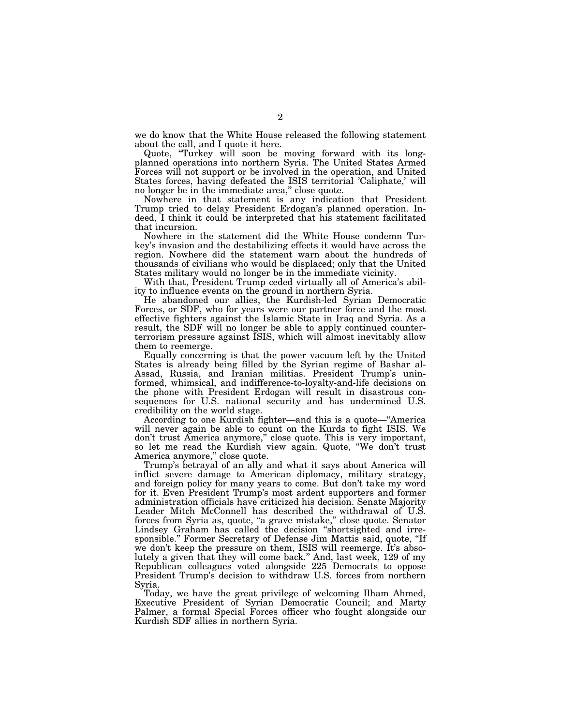we do know that the White House released the following statement about the call, and I quote it here.

Quote, ''Turkey will soon be moving forward with its longplanned operations into northern Syria. The United States Armed Forces will not support or be involved in the operation, and United States forces, having defeated the ISIS territorial 'Caliphate,' will no longer be in the immediate area,'' close quote.

Nowhere in that statement is any indication that President Trump tried to delay President Erdogan's planned operation. Indeed, I think it could be interpreted that his statement facilitated that incursion.

Nowhere in the statement did the White House condemn Turkey's invasion and the destabilizing effects it would have across the region. Nowhere did the statement warn about the hundreds of thousands of civilians who would be displaced; only that the United States military would no longer be in the immediate vicinity.

With that, President Trump ceded virtually all of America's ability to influence events on the ground in northern Syria.

He abandoned our allies, the Kurdish-led Syrian Democratic Forces, or SDF, who for years were our partner force and the most effective fighters against the Islamic State in Iraq and Syria. As a result, the SDF will no longer be able to apply continued counterterrorism pressure against ISIS, which will almost inevitably allow them to reemerge.

Equally concerning is that the power vacuum left by the United States is already being filled by the Syrian regime of Bashar al-Assad, Russia, and Iranian militias. President Trump's uninformed, whimsical, and indifference-to-loyalty-and-life decisions on the phone with President Erdogan will result in disastrous consequences for U.S. national security and has undermined U.S. credibility on the world stage.

According to one Kurdish fighter—and this is a quote—''America will never again be able to count on the Kurds to fight ISIS. We don't trust America anymore,'' close quote. This is very important, so let me read the Kurdish view again. Quote, ''We don't trust America anymore,'' close quote.

Trump's betrayal of an ally and what it says about America will inflict severe damage to American diplomacy, military strategy, and foreign policy for many years to come. But don't take my word for it. Even President Trump's most ardent supporters and former administration officials have criticized his decision. Senate Majority Leader Mitch McConnell has described the withdrawal of U.S. forces from Syria as, quote, ''a grave mistake,'' close quote. Senator Lindsey Graham has called the decision ''shortsighted and irresponsible.'' Former Secretary of Defense Jim Mattis said, quote, ''If we don't keep the pressure on them, ISIS will reemerge. It's absolutely a given that they will come back.'' And, last week, 129 of my Republican colleagues voted alongside 225 Democrats to oppose President Trump's decision to withdraw U.S. forces from northern Syria.

Today, we have the great privilege of welcoming Ilham Ahmed, Executive President of Syrian Democratic Council; and Marty Palmer, a formal Special Forces officer who fought alongside our Kurdish SDF allies in northern Syria.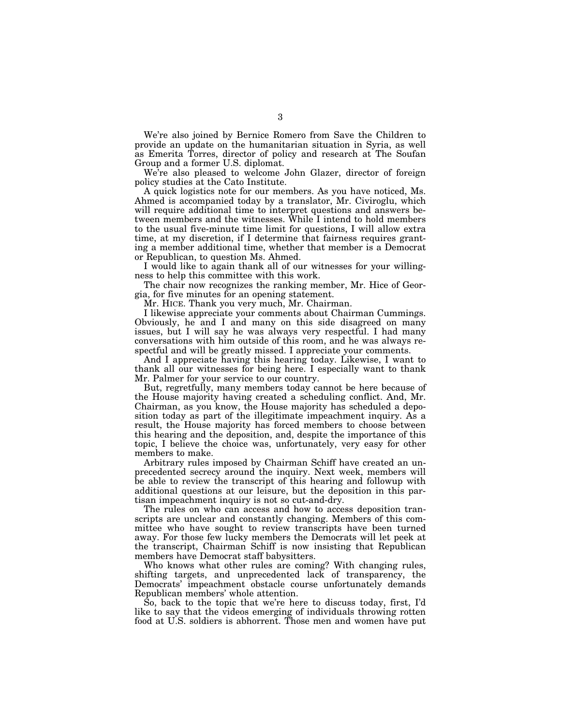We're also joined by Bernice Romero from Save the Children to provide an update on the humanitarian situation in Syria, as well as Emerita Torres, director of policy and research at The Soufan Group and a former U.S. diplomat.

We're also pleased to welcome John Glazer, director of foreign policy studies at the Cato Institute.

A quick logistics note for our members. As you have noticed, Ms. Ahmed is accompanied today by a translator, Mr. Civiroglu, which will require additional time to interpret questions and answers between members and the witnesses. While I intend to hold members to the usual five-minute time limit for questions, I will allow extra time, at my discretion, if I determine that fairness requires granting a member additional time, whether that member is a Democrat or Republican, to question Ms. Ahmed.

I would like to again thank all of our witnesses for your willingness to help this committee with this work.

The chair now recognizes the ranking member, Mr. Hice of Georgia, for five minutes for an opening statement.

Mr. HICE. Thank you very much, Mr. Chairman.

I likewise appreciate your comments about Chairman Cummings. Obviously, he and I and many on this side disagreed on many issues, but I will say he was always very respectful. I had many conversations with him outside of this room, and he was always respectful and will be greatly missed. I appreciate your comments.

And I appreciate having this hearing today. Likewise, I want to thank all our witnesses for being here. I especially want to thank Mr. Palmer for your service to our country.

But, regretfully, many members today cannot be here because of the House majority having created a scheduling conflict. And, Mr. Chairman, as you know, the House majority has scheduled a deposition today as part of the illegitimate impeachment inquiry. As a result, the House majority has forced members to choose between this hearing and the deposition, and, despite the importance of this topic, I believe the choice was, unfortunately, very easy for other members to make.

Arbitrary rules imposed by Chairman Schiff have created an unprecedented secrecy around the inquiry. Next week, members will be able to review the transcript of this hearing and followup with additional questions at our leisure, but the deposition in this partisan impeachment inquiry is not so cut-and-dry.

The rules on who can access and how to access deposition transcripts are unclear and constantly changing. Members of this committee who have sought to review transcripts have been turned away. For those few lucky members the Democrats will let peek at the transcript, Chairman Schiff is now insisting that Republican members have Democrat staff babysitters.

Who knows what other rules are coming? With changing rules, shifting targets, and unprecedented lack of transparency, the Democrats' impeachment obstacle course unfortunately demands Republican members' whole attention.

So, back to the topic that we're here to discuss today, first, I'd like to say that the videos emerging of individuals throwing rotten food at U.S. soldiers is abhorrent. Those men and women have put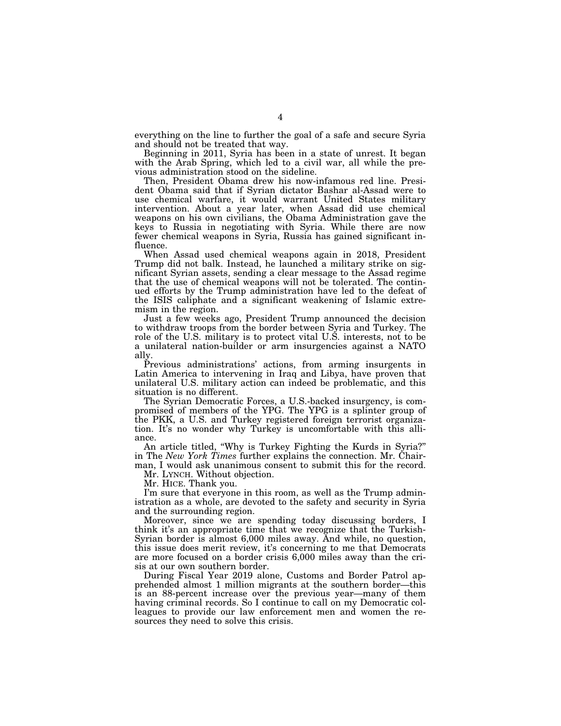everything on the line to further the goal of a safe and secure Syria and should not be treated that way.

Beginning in 2011, Syria has been in a state of unrest. It began with the Arab Spring, which led to a civil war, all while the previous administration stood on the sideline.

Then, President Obama drew his now-infamous red line. President Obama said that if Syrian dictator Bashar al-Assad were to use chemical warfare, it would warrant United States military intervention. About a year later, when Assad did use chemical weapons on his own civilians, the Obama Administration gave the keys to Russia in negotiating with Syria. While there are now fewer chemical weapons in Syria, Russia has gained significant influence.

When Assad used chemical weapons again in 2018, President Trump did not balk. Instead, he launched a military strike on significant Syrian assets, sending a clear message to the Assad regime that the use of chemical weapons will not be tolerated. The continued efforts by the Trump administration have led to the defeat of the ISIS caliphate and a significant weakening of Islamic extremism in the region.

Just a few weeks ago, President Trump announced the decision to withdraw troops from the border between Syria and Turkey. The role of the U.S. military is to protect vital U.S. interests, not to be a unilateral nation-builder or arm insurgencies against a NATO ally.

Previous administrations' actions, from arming insurgents in Latin America to intervening in Iraq and Libya, have proven that unilateral U.S. military action can indeed be problematic, and this situation is no different.

The Syrian Democratic Forces, a U.S.-backed insurgency, is compromised of members of the YPG. The YPG is a splinter group of the PKK, a U.S. and Turkey registered foreign terrorist organization. It's no wonder why Turkey is uncomfortable with this alliance.

An article titled, ''Why is Turkey Fighting the Kurds in Syria?'' in The *New York Times* further explains the connection. Mr. Chairman, I would ask unanimous consent to submit this for the record.

Mr. LYNCH. Without objection.

Mr. HICE. Thank you.

I'm sure that everyone in this room, as well as the Trump administration as a whole, are devoted to the safety and security in Syria and the surrounding region.

Moreover, since we are spending today discussing borders, I think it's an appropriate time that we recognize that the Turkish-Syrian border is almost 6,000 miles away. And while, no question, this issue does merit review, it's concerning to me that Democrats are more focused on a border crisis 6,000 miles away than the crisis at our own southern border.

During Fiscal Year 2019 alone, Customs and Border Patrol apprehended almost 1 million migrants at the southern border—this is an 88-percent increase over the previous year—many of them having criminal records. So I continue to call on my Democratic colleagues to provide our law enforcement men and women the resources they need to solve this crisis.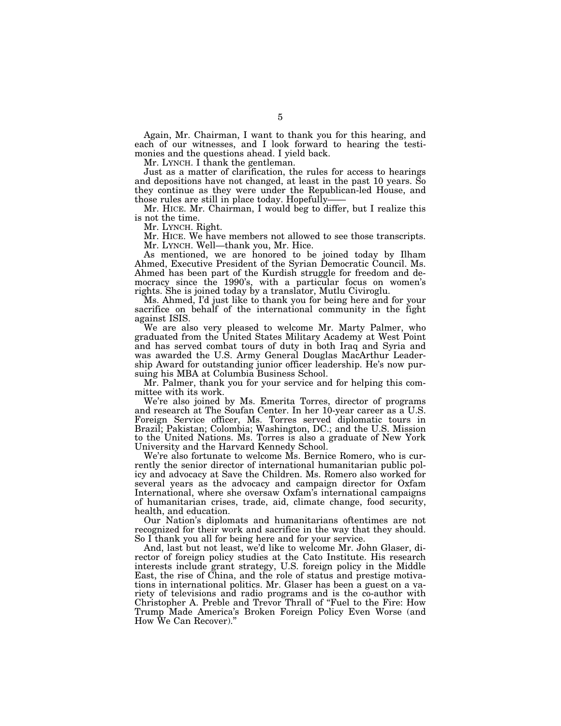Again, Mr. Chairman, I want to thank you for this hearing, and each of our witnesses, and I look forward to hearing the testimonies and the questions ahead. I yield back.

Mr. LYNCH. I thank the gentleman.

Just as a matter of clarification, the rules for access to hearings and depositions have not changed, at least in the past 10 years. So they continue as they were under the Republican-led House, and those rules are still in place today. Hopefully——

Mr. HICE. Mr. Chairman, I would beg to differ, but I realize this is not the time.

Mr. LYNCH. Right.

Mr. HICE. We have members not allowed to see those transcripts. Mr. LYNCH. Well—thank you, Mr. Hice.

As mentioned, we are honored to be joined today by Ilham Ahmed, Executive President of the Syrian Democratic Council. Ms. Ahmed has been part of the Kurdish struggle for freedom and democracy since the 1990's, with a particular focus on women's rights. She is joined today by a translator, Mutlu Civiroglu.

Ms. Ahmed, I'd just like to thank you for being here and for your sacrifice on behalf of the international community in the fight against ISIS.

We are also very pleased to welcome Mr. Marty Palmer, who graduated from the United States Military Academy at West Point and has served combat tours of duty in both Iraq and Syria and was awarded the U.S. Army General Douglas MacArthur Leadership Award for outstanding junior officer leadership. He's now pursuing his MBA at Columbia Business School.

Mr. Palmer, thank you for your service and for helping this committee with its work.

We're also joined by Ms. Emerita Torres, director of programs and research at The Soufan Center. In her 10-year career as a U.S. Foreign Service officer, Ms. Torres served diplomatic tours in Brazil; Pakistan; Colombia; Washington, DC.; and the U.S. Mission to the United Nations. Ms. Torres is also a graduate of New York University and the Harvard Kennedy School.

We're also fortunate to welcome Ms. Bernice Romero, who is currently the senior director of international humanitarian public policy and advocacy at Save the Children. Ms. Romero also worked for several years as the advocacy and campaign director for Oxfam International, where she oversaw Oxfam's international campaigns of humanitarian crises, trade, aid, climate change, food security, health, and education.

Our Nation's diplomats and humanitarians oftentimes are not recognized for their work and sacrifice in the way that they should. So I thank you all for being here and for your service.

And, last but not least, we'd like to welcome Mr. John Glaser, director of foreign policy studies at the Cato Institute. His research interests include grant strategy, U.S. foreign policy in the Middle East, the rise of China, and the role of status and prestige motivations in international politics. Mr. Glaser has been a guest on a variety of televisions and radio programs and is the co-author with Christopher A. Preble and Trevor Thrall of ''Fuel to the Fire: How Trump Made America's Broken Foreign Policy Even Worse (and How We Can Recover).''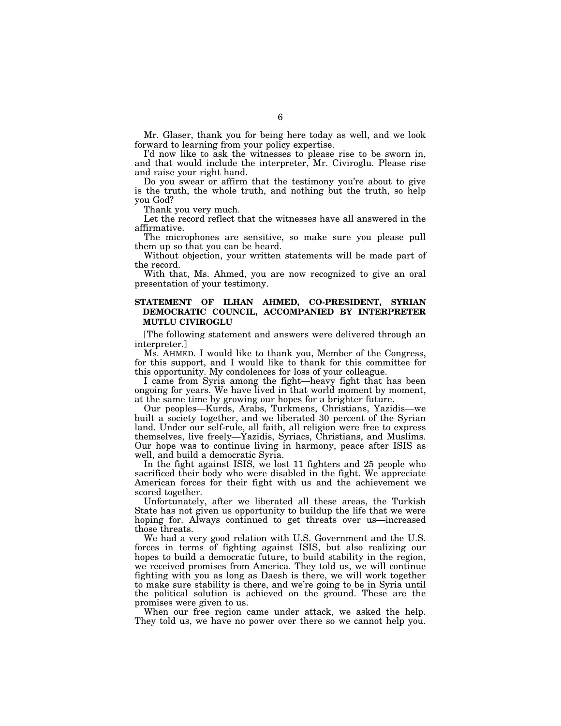Mr. Glaser, thank you for being here today as well, and we look forward to learning from your policy expertise.

I'd now like to ask the witnesses to please rise to be sworn in, and that would include the interpreter, Mr. Civiroglu. Please rise and raise your right hand.

Do you swear or affirm that the testimony you're about to give is the truth, the whole truth, and nothing but the truth, so help you God?

Thank you very much.

Let the record reflect that the witnesses have all answered in the affirmative.

The microphones are sensitive, so make sure you please pull them up so that you can be heard.

Without objection, your written statements will be made part of the record.

With that, Ms. Ahmed, you are now recognized to give an oral presentation of your testimony.

## **STATEMENT OF ILHAN AHMED, CO-PRESIDENT, SYRIAN DEMOCRATIC COUNCIL, ACCOMPANIED BY INTERPRETER MUTLU CIVIROGLU**

[The following statement and answers were delivered through an interpreter.]

Ms. AHMED. I would like to thank you, Member of the Congress, for this support, and I would like to thank for this committee for this opportunity. My condolences for loss of your colleague.

I came from Syria among the fight—heavy fight that has been ongoing for years. We have lived in that world moment by moment, at the same time by growing our hopes for a brighter future.

Our peoples—Kurds, Arabs, Turkmens, Christians, Yazidis—we built a society together, and we liberated 30 percent of the Syrian land. Under our self-rule, all faith, all religion were free to express themselves, live freely—Yazidis, Syriacs, Christians, and Muslims. Our hope was to continue living in harmony, peace after ISIS as well, and build a democratic Syria.

In the fight against ISIS, we lost 11 fighters and 25 people who sacrificed their body who were disabled in the fight. We appreciate American forces for their fight with us and the achievement we scored together.

Unfortunately, after we liberated all these areas, the Turkish State has not given us opportunity to buildup the life that we were hoping for. Always continued to get threats over us—increased those threats.

We had a very good relation with U.S. Government and the U.S. forces in terms of fighting against ISIS, but also realizing our hopes to build a democratic future, to build stability in the region, we received promises from America. They told us, we will continue fighting with you as long as Daesh is there, we will work together to make sure stability is there, and we're going to be in Syria until the political solution is achieved on the ground. These are the promises were given to us.

When our free region came under attack, we asked the help. They told us, we have no power over there so we cannot help you.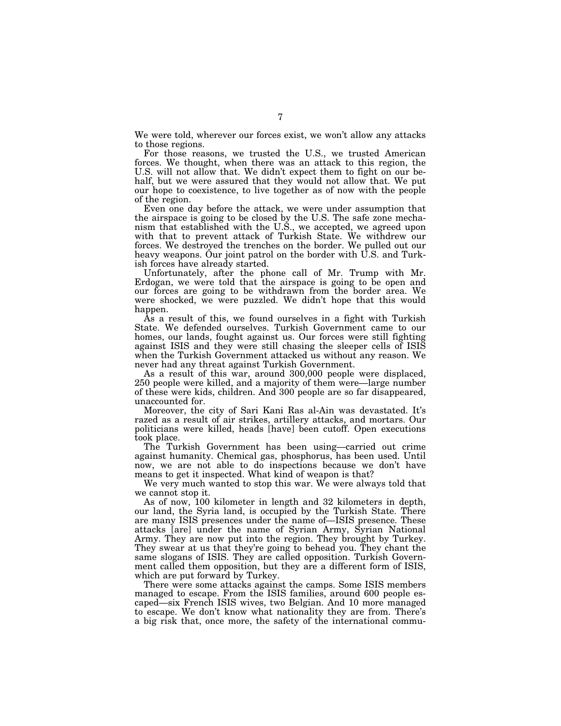We were told, wherever our forces exist, we won't allow any attacks to those regions.

For those reasons, we trusted the U.S., we trusted American forces. We thought, when there was an attack to this region, the U.S. will not allow that. We didn't expect them to fight on our behalf, but we were assured that they would not allow that. We put our hope to coexistence, to live together as of now with the people of the region.

Even one day before the attack, we were under assumption that the airspace is going to be closed by the U.S. The safe zone mechanism that established with the U.S., we accepted, we agreed upon with that to prevent attack of Turkish State. We withdrew our forces. We destroyed the trenches on the border. We pulled out our heavy weapons. Our joint patrol on the border with U.S. and Turkish forces have already started.

Unfortunately, after the phone call of Mr. Trump with Mr. Erdogan, we were told that the airspace is going to be open and our forces are going to be withdrawn from the border area. We were shocked, we were puzzled. We didn't hope that this would happen.

As a result of this, we found ourselves in a fight with Turkish State. We defended ourselves. Turkish Government came to our homes, our lands, fought against us. Our forces were still fighting against ISIS and they were still chasing the sleeper cells of ISIS when the Turkish Government attacked us without any reason. We never had any threat against Turkish Government.

As a result of this war, around 300,000 people were displaced, 250 people were killed, and a majority of them were—large number of these were kids, children. And 300 people are so far disappeared, unaccounted for.

Moreover, the city of Sari Kani Ras al-Ain was devastated. It's razed as a result of air strikes, artillery attacks, and mortars. Our politicians were killed, heads [have] been cutoff. Open executions took place.

The Turkish Government has been using—carried out crime against humanity. Chemical gas, phosphorus, has been used. Until now, we are not able to do inspections because we don't have means to get it inspected. What kind of weapon is that?

We very much wanted to stop this war. We were always told that we cannot stop it.

As of now, 100 kilometer in length and 32 kilometers in depth, our land, the Syria land, is occupied by the Turkish State. There are many ISIS presences under the name of—ISIS presence. These attacks [are] under the name of Syrian Army, Syrian National Army. They are now put into the region. They brought by Turkey. They swear at us that they're going to behead you. They chant the same slogans of ISIS. They are called opposition. Turkish Government called them opposition, but they are a different form of ISIS, which are put forward by Turkey.

There were some attacks against the camps. Some ISIS members managed to escape. From the ISIS families, around 600 people escaped—six French ISIS wives, two Belgian. And 10 more managed to escape. We don't know what nationality they are from. There's a big risk that, once more, the safety of the international commu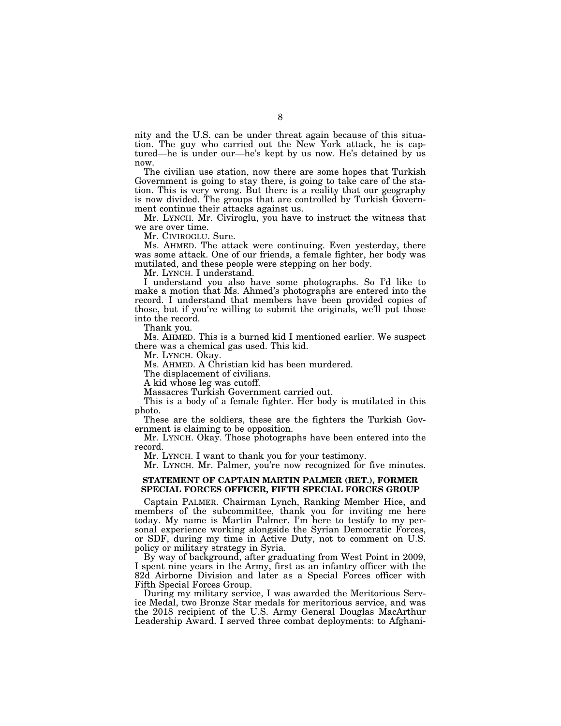nity and the U.S. can be under threat again because of this situation. The guy who carried out the New York attack, he is captured—he is under our—he's kept by us now. He's detained by us now.

The civilian use station, now there are some hopes that Turkish Government is going to stay there, is going to take care of the station. This is very wrong. But there is a reality that our geography is now divided. The groups that are controlled by Turkish Government continue their attacks against us.

Mr. LYNCH. Mr. Civiroglu, you have to instruct the witness that we are over time.

Mr. CIVIROGLU. Sure.

Ms. AHMED. The attack were continuing. Even yesterday, there was some attack. One of our friends, a female fighter, her body was mutilated, and these people were stepping on her body.

Mr. LYNCH. I understand.

I understand you also have some photographs. So I'd like to make a motion that Ms. Ahmed's photographs are entered into the record. I understand that members have been provided copies of those, but if you're willing to submit the originals, we'll put those into the record.

Thank you.

Ms. AHMED. This is a burned kid I mentioned earlier. We suspect there was a chemical gas used. This kid.

Mr. LYNCH. Okay.

Ms. AHMED. A Christian kid has been murdered.

The displacement of civilians.

A kid whose leg was cutoff.

Massacres Turkish Government carried out.

This is a body of a female fighter. Her body is mutilated in this photo.

These are the soldiers, these are the fighters the Turkish Government is claiming to be opposition.

Mr. LYNCH. Okay. Those photographs have been entered into the record.

Mr. LYNCH. I want to thank you for your testimony.

Mr. LYNCH. Mr. Palmer, you're now recognized for five minutes.

### **STATEMENT OF CAPTAIN MARTIN PALMER (RET.), FORMER SPECIAL FORCES OFFICER, FIFTH SPECIAL FORCES GROUP**

Captain PALMER. Chairman Lynch, Ranking Member Hice, and members of the subcommittee, thank you for inviting me here today. My name is Martin Palmer. I'm here to testify to my personal experience working alongside the Syrian Democratic Forces, or SDF, during my time in Active Duty, not to comment on U.S. policy or military strategy in Syria.

By way of background, after graduating from West Point in 2009, I spent nine years in the Army, first as an infantry officer with the 82d Airborne Division and later as a Special Forces officer with Fifth Special Forces Group.

During my military service, I was awarded the Meritorious Service Medal, two Bronze Star medals for meritorious service, and was the 2018 recipient of the U.S. Army General Douglas MacArthur Leadership Award. I served three combat deployments: to Afghani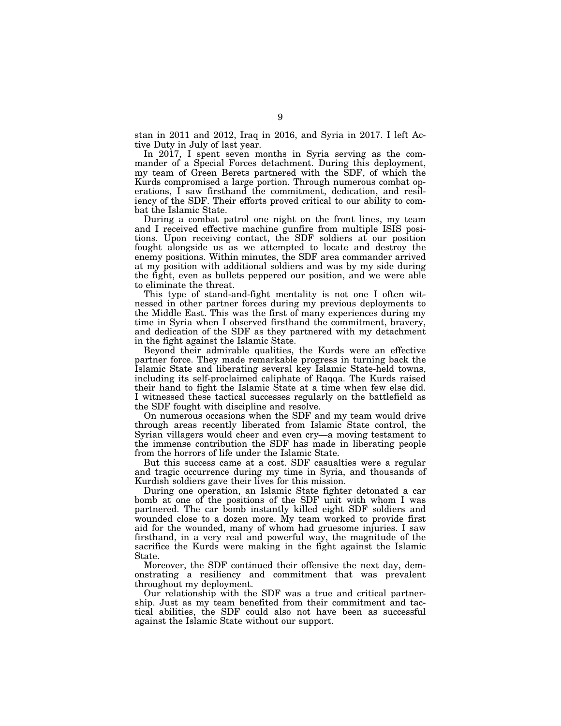stan in 2011 and 2012, Iraq in 2016, and Syria in 2017. I left Active Duty in July of last year.

In 2017, I spent seven months in Syria serving as the commander of a Special Forces detachment. During this deployment, my team of Green Berets partnered with the SDF, of which the Kurds compromised a large portion. Through numerous combat operations, I saw firsthand the commitment, dedication, and resiliency of the SDF. Their efforts proved critical to our ability to combat the Islamic State.

During a combat patrol one night on the front lines, my team and I received effective machine gunfire from multiple ISIS positions. Upon receiving contact, the SDF soldiers at our position fought alongside us as we attempted to locate and destroy the enemy positions. Within minutes, the SDF area commander arrived at my position with additional soldiers and was by my side during the fight, even as bullets peppered our position, and we were able to eliminate the threat.

This type of stand-and-fight mentality is not one I often witnessed in other partner forces during my previous deployments to the Middle East. This was the first of many experiences during my time in Syria when I observed firsthand the commitment, bravery, and dedication of the SDF as they partnered with my detachment in the fight against the Islamic State.

Beyond their admirable qualities, the Kurds were an effective partner force. They made remarkable progress in turning back the Islamic State and liberating several key Islamic State-held towns, including its self-proclaimed caliphate of Raqqa. The Kurds raised their hand to fight the Islamic State at a time when few else did. I witnessed these tactical successes regularly on the battlefield as the SDF fought with discipline and resolve.

On numerous occasions when the SDF and my team would drive through areas recently liberated from Islamic State control, the Syrian villagers would cheer and even cry—a moving testament to the immense contribution the SDF has made in liberating people from the horrors of life under the Islamic State.

But this success came at a cost. SDF casualties were a regular and tragic occurrence during my time in Syria, and thousands of Kurdish soldiers gave their lives for this mission.

During one operation, an Islamic State fighter detonated a car bomb at one of the positions of the SDF unit with whom I was partnered. The car bomb instantly killed eight SDF soldiers and wounded close to a dozen more. My team worked to provide first aid for the wounded, many of whom had gruesome injuries. I saw firsthand, in a very real and powerful way, the magnitude of the sacrifice the Kurds were making in the fight against the Islamic State.

Moreover, the SDF continued their offensive the next day, demonstrating a resiliency and commitment that was prevalent throughout my deployment.

Our relationship with the SDF was a true and critical partnership. Just as my team benefited from their commitment and tactical abilities, the SDF could also not have been as successful against the Islamic State without our support.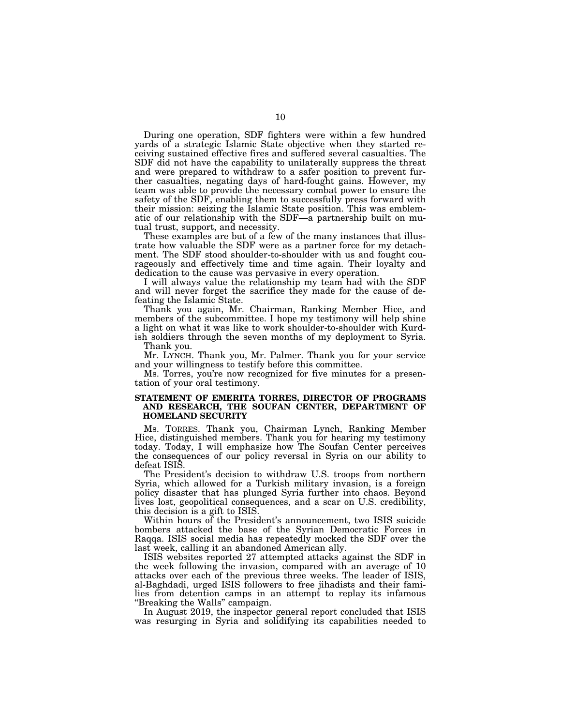During one operation, SDF fighters were within a few hundred yards of a strategic Islamic State objective when they started receiving sustained effective fires and suffered several casualties. The SDF did not have the capability to unilaterally suppress the threat and were prepared to withdraw to a safer position to prevent further casualties, negating days of hard-fought gains. However, my team was able to provide the necessary combat power to ensure the safety of the SDF, enabling them to successfully press forward with their mission: seizing the Islamic State position. This was emblematic of our relationship with the SDF—a partnership built on mutual trust, support, and necessity.

These examples are but of a few of the many instances that illustrate how valuable the SDF were as a partner force for my detachment. The SDF stood shoulder-to-shoulder with us and fought courageously and effectively time and time again. Their loyalty and dedication to the cause was pervasive in every operation.

I will always value the relationship my team had with the SDF and will never forget the sacrifice they made for the cause of defeating the Islamic State.

Thank you again, Mr. Chairman, Ranking Member Hice, and members of the subcommittee. I hope my testimony will help shine a light on what it was like to work shoulder-to-shoulder with Kurdish soldiers through the seven months of my deployment to Syria.

Thank you.

Mr. LYNCH. Thank you, Mr. Palmer. Thank you for your service and your willingness to testify before this committee.

Ms. Torres, you're now recognized for five minutes for a presentation of your oral testimony.

### **STATEMENT OF EMERITA TORRES, DIRECTOR OF PROGRAMS AND RESEARCH, THE SOUFAN CENTER, DEPARTMENT OF HOMELAND SECURITY**

Ms. TORRES. Thank you, Chairman Lynch, Ranking Member Hice, distinguished members. Thank you for hearing my testimony today. Today, I will emphasize how The Soufan Center perceives the consequences of our policy reversal in Syria on our ability to defeat ISIS.

The President's decision to withdraw U.S. troops from northern Syria, which allowed for a Turkish military invasion, is a foreign policy disaster that has plunged Syria further into chaos. Beyond lives lost, geopolitical consequences, and a scar on U.S. credibility, this decision is a gift to ISIS.

Within hours of the President's announcement, two ISIS suicide bombers attacked the base of the Syrian Democratic Forces in Raqqa. ISIS social media has repeatedly mocked the SDF over the last week, calling it an abandoned American ally.

ISIS websites reported 27 attempted attacks against the SDF in the week following the invasion, compared with an average of 10 attacks over each of the previous three weeks. The leader of ISIS, al-Baghdadi, urged ISIS followers to free jihadists and their families from detention camps in an attempt to replay its infamous ''Breaking the Walls'' campaign.

In August 2019, the inspector general report concluded that ISIS was resurging in Syria and solidifying its capabilities needed to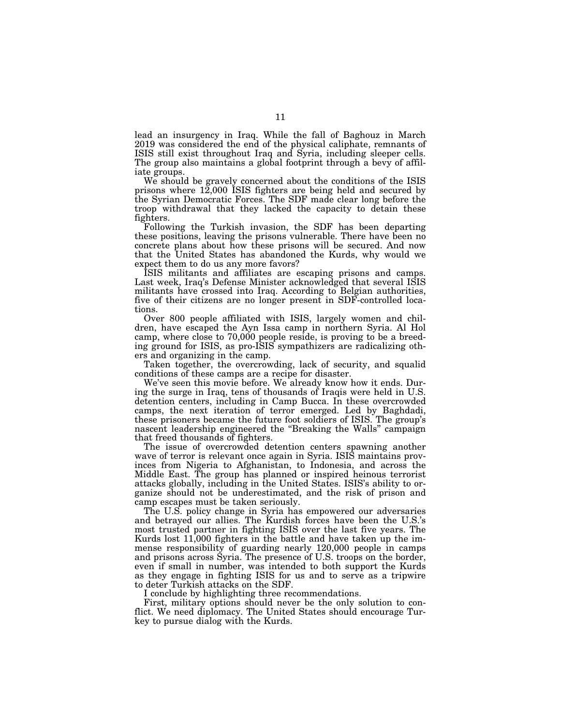lead an insurgency in Iraq. While the fall of Baghouz in March 2019 was considered the end of the physical caliphate, remnants of ISIS still exist throughout Iraq and Syria, including sleeper cells. The group also maintains a global footprint through a bevy of affiliate groups.

We should be gravely concerned about the conditions of the ISIS prisons where  $12,000$  ISIS fighters are being held and secured by the Syrian Democratic Forces. The SDF made clear long before the troop withdrawal that they lacked the capacity to detain these fighters.

Following the Turkish invasion, the SDF has been departing these positions, leaving the prisons vulnerable. There have been no concrete plans about how these prisons will be secured. And now that the United States has abandoned the Kurds, why would we expect them to do us any more favors?

ISIS militants and affiliates are escaping prisons and camps. Last week, Iraq's Defense Minister acknowledged that several ISIS militants have crossed into Iraq. According to Belgian authorities, five of their citizens are no longer present in SDF-controlled locations.

Over 800 people affiliated with ISIS, largely women and children, have escaped the Ayn Issa camp in northern Syria. Al Hol camp, where close to 70,000 people reside, is proving to be a breeding ground for ISIS, as pro-ISIS sympathizers are radicalizing others and organizing in the camp.

Taken together, the overcrowding, lack of security, and squalid conditions of these camps are a recipe for disaster.

We've seen this movie before. We already know how it ends. During the surge in Iraq, tens of thousands of Iraqis were held in U.S. detention centers, including in Camp Bucca. In these overcrowded camps, the next iteration of terror emerged. Led by Baghdadi, these prisoners became the future foot soldiers of ISIS. The group's nascent leadership engineered the ''Breaking the Walls'' campaign that freed thousands of fighters.

The issue of overcrowded detention centers spawning another wave of terror is relevant once again in Syria. ISIS maintains provinces from Nigeria to Afghanistan, to Indonesia, and across the Middle East. The group has planned or inspired heinous terrorist attacks globally, including in the United States. ISIS's ability to organize should not be underestimated, and the risk of prison and camp escapes must be taken seriously.

The U.S. policy change in Syria has empowered our adversaries and betrayed our allies. The Kurdish forces have been the U.S.'s most trusted partner in fighting ISIS over the last five years. The Kurds lost 11,000 fighters in the battle and have taken up the immense responsibility of guarding nearly 120,000 people in camps and prisons across Syria. The presence of U.S. troops on the border, even if small in number, was intended to both support the Kurds as they engage in fighting ISIS for us and to serve as a tripwire to deter Turkish attacks on the SDF.

I conclude by highlighting three recommendations.

First, military options should never be the only solution to conflict. We need diplomacy. The United States should encourage Turkey to pursue dialog with the Kurds.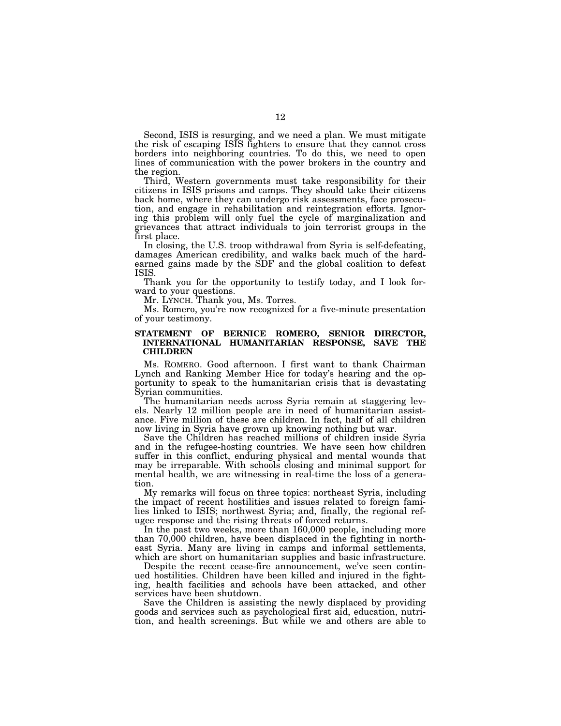Second, ISIS is resurging, and we need a plan. We must mitigate the risk of escaping ISIS fighters to ensure that they cannot cross borders into neighboring countries. To do this, we need to open lines of communication with the power brokers in the country and the region.

Third, Western governments must take responsibility for their citizens in ISIS prisons and camps. They should take their citizens back home, where they can undergo risk assessments, face prosecution, and engage in rehabilitation and reintegration efforts. Ignoring this problem will only fuel the cycle of marginalization and grievances that attract individuals to join terrorist groups in the first place.

In closing, the U.S. troop withdrawal from Syria is self-defeating, damages American credibility, and walks back much of the hardearned gains made by the SDF and the global coalition to defeat ISIS.

Thank you for the opportunity to testify today, and I look forward to your questions.

Mr. LYNCH. Thank you, Ms. Torres.

Ms. Romero, you're now recognized for a five-minute presentation of your testimony.

## **STATEMENT OF BERNICE ROMERO, SENIOR DIRECTOR, INTERNATIONAL HUMANITARIAN RESPONSE, SAVE THE CHILDREN**

Ms. ROMERO. Good afternoon. I first want to thank Chairman Lynch and Ranking Member Hice for today's hearing and the opportunity to speak to the humanitarian crisis that is devastating Syrian communities.

The humanitarian needs across Syria remain at staggering levels. Nearly 12 million people are in need of humanitarian assistance. Five million of these are children. In fact, half of all children now living in Syria have grown up knowing nothing but war.

Save the Children has reached millions of children inside Syria and in the refugee-hosting countries. We have seen how children suffer in this conflict, enduring physical and mental wounds that may be irreparable. With schools closing and minimal support for mental health, we are witnessing in real-time the loss of a generation.

My remarks will focus on three topics: northeast Syria, including the impact of recent hostilities and issues related to foreign families linked to ISIS; northwest Syria; and, finally, the regional refugee response and the rising threats of forced returns.

In the past two weeks, more than 160,000 people, including more than 70,000 children, have been displaced in the fighting in northeast Syria. Many are living in camps and informal settlements, which are short on humanitarian supplies and basic infrastructure.

Despite the recent cease-fire announcement, we've seen continued hostilities. Children have been killed and injured in the fighting, health facilities and schools have been attacked, and other services have been shutdown.

Save the Children is assisting the newly displaced by providing goods and services such as psychological first aid, education, nutrition, and health screenings. But while we and others are able to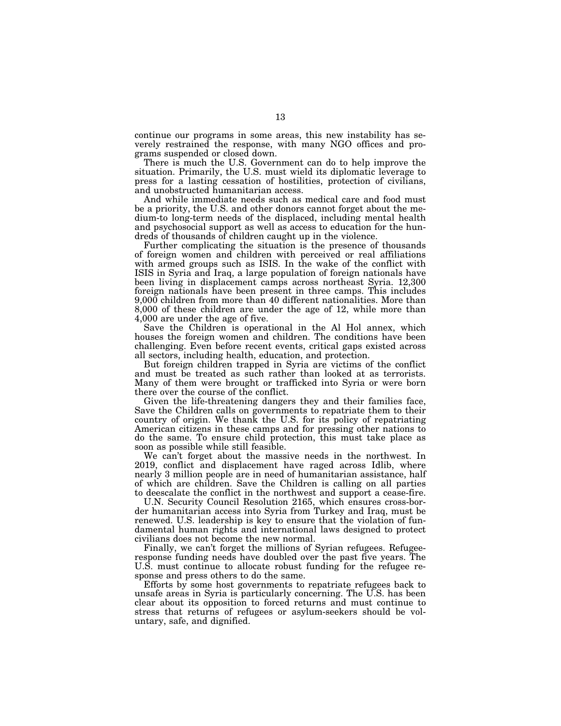continue our programs in some areas, this new instability has severely restrained the response, with many NGO offices and programs suspended or closed down.

There is much the U.S. Government can do to help improve the situation. Primarily, the U.S. must wield its diplomatic leverage to press for a lasting cessation of hostilities, protection of civilians, and unobstructed humanitarian access.

And while immediate needs such as medical care and food must be a priority, the U.S. and other donors cannot forget about the medium-to long-term needs of the displaced, including mental health and psychosocial support as well as access to education for the hundreds of thousands of children caught up in the violence.

Further complicating the situation is the presence of thousands of foreign women and children with perceived or real affiliations with armed groups such as ISIS. In the wake of the conflict with ISIS in Syria and Iraq, a large population of foreign nationals have been living in displacement camps across northeast Syria. 12,300 foreign nationals have been present in three camps. This includes 9,000 children from more than 40 different nationalities. More than 8,000 of these children are under the age of 12, while more than 4,000 are under the age of five.

Save the Children is operational in the Al Hol annex, which houses the foreign women and children. The conditions have been challenging. Even before recent events, critical gaps existed across all sectors, including health, education, and protection.

But foreign children trapped in Syria are victims of the conflict and must be treated as such rather than looked at as terrorists. Many of them were brought or trafficked into Syria or were born there over the course of the conflict.

Given the life-threatening dangers they and their families face, Save the Children calls on governments to repatriate them to their country of origin. We thank the U.S. for its policy of repatriating American citizens in these camps and for pressing other nations to do the same. To ensure child protection, this must take place as soon as possible while still feasible.

We can't forget about the massive needs in the northwest. In 2019, conflict and displacement have raged across Idlib, where nearly 3 million people are in need of humanitarian assistance, half of which are children. Save the Children is calling on all parties to deescalate the conflict in the northwest and support a cease-fire.

U.N. Security Council Resolution 2165, which ensures cross-border humanitarian access into Syria from Turkey and Iraq, must be renewed. U.S. leadership is key to ensure that the violation of fundamental human rights and international laws designed to protect civilians does not become the new normal.

Finally, we can't forget the millions of Syrian refugees. Refugeeresponse funding needs have doubled over the past five years. The U.S. must continue to allocate robust funding for the refugee response and press others to do the same.

Efforts by some host governments to repatriate refugees back to unsafe areas in Syria is particularly concerning. The U.S. has been clear about its opposition to forced returns and must continue to stress that returns of refugees or asylum-seekers should be voluntary, safe, and dignified.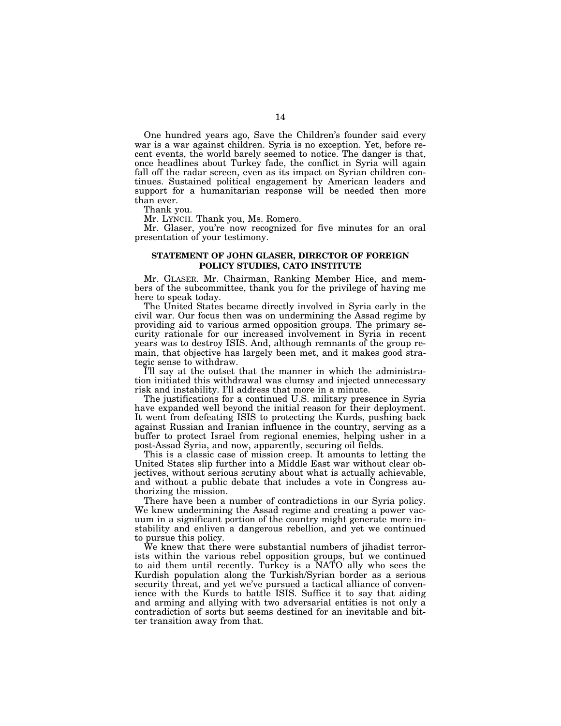One hundred years ago, Save the Children's founder said every war is a war against children. Syria is no exception. Yet, before recent events, the world barely seemed to notice. The danger is that, once headlines about Turkey fade, the conflict in Syria will again fall off the radar screen, even as its impact on Syrian children continues. Sustained political engagement by American leaders and support for a humanitarian response will be needed then more than ever.

Thank you.

Mr. LYNCH. Thank you, Ms. Romero.

Mr. Glaser, you're now recognized for five minutes for an oral presentation of your testimony.

### **STATEMENT OF JOHN GLASER, DIRECTOR OF FOREIGN POLICY STUDIES, CATO INSTITUTE**

Mr. GLASER. Mr. Chairman, Ranking Member Hice, and members of the subcommittee, thank you for the privilege of having me here to speak today.

The United States became directly involved in Syria early in the civil war. Our focus then was on undermining the Assad regime by providing aid to various armed opposition groups. The primary security rationale for our increased involvement in Syria in recent years was to destroy ISIS. And, although remnants of the group remain, that objective has largely been met, and it makes good strategic sense to withdraw.

I'll say at the outset that the manner in which the administration initiated this withdrawal was clumsy and injected unnecessary risk and instability. I'll address that more in a minute.

The justifications for a continued U.S. military presence in Syria have expanded well beyond the initial reason for their deployment. It went from defeating ISIS to protecting the Kurds, pushing back against Russian and Iranian influence in the country, serving as a buffer to protect Israel from regional enemies, helping usher in a post-Assad Syria, and now, apparently, securing oil fields.

This is a classic case of mission creep. It amounts to letting the United States slip further into a Middle East war without clear objectives, without serious scrutiny about what is actually achievable, and without a public debate that includes a vote in Congress authorizing the mission.

There have been a number of contradictions in our Syria policy. We knew undermining the Assad regime and creating a power vacuum in a significant portion of the country might generate more instability and enliven a dangerous rebellion, and yet we continued to pursue this policy.

We knew that there were substantial numbers of jihadist terrorists within the various rebel opposition groups, but we continued to aid them until recently. Turkey is a NATO ally who sees the Kurdish population along the Turkish/Syrian border as a serious security threat, and yet we've pursued a tactical alliance of convenience with the Kurds to battle ISIS. Suffice it to say that aiding and arming and allying with two adversarial entities is not only a contradiction of sorts but seems destined for an inevitable and bitter transition away from that.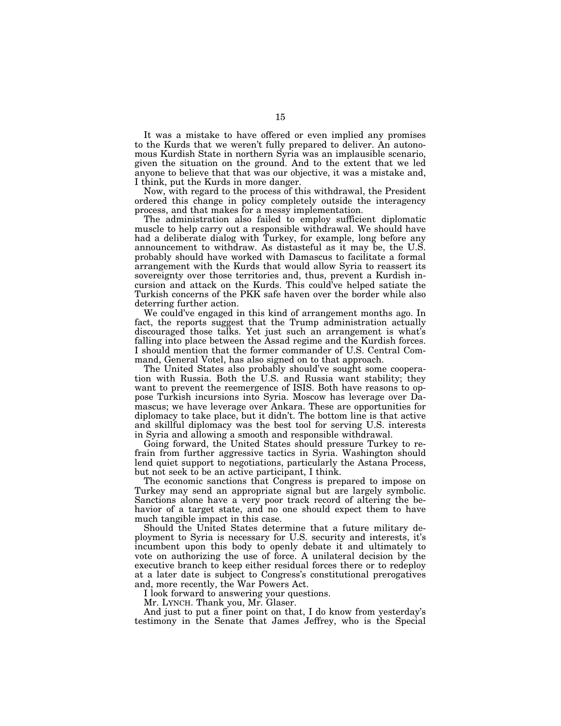It was a mistake to have offered or even implied any promises to the Kurds that we weren't fully prepared to deliver. An autonomous Kurdish State in northern Syria was an implausible scenario, given the situation on the ground. And to the extent that we led anyone to believe that that was our objective, it was a mistake and, I think, put the Kurds in more danger.

Now, with regard to the process of this withdrawal, the President ordered this change in policy completely outside the interagency process, and that makes for a messy implementation.

The administration also failed to employ sufficient diplomatic muscle to help carry out a responsible withdrawal. We should have had a deliberate dialog with Turkey, for example, long before any announcement to withdraw. As distasteful as it may be, the U.S. probably should have worked with Damascus to facilitate a formal arrangement with the Kurds that would allow Syria to reassert its sovereignty over those territories and, thus, prevent a Kurdish incursion and attack on the Kurds. This could've helped satiate the Turkish concerns of the PKK safe haven over the border while also deterring further action.

We could've engaged in this kind of arrangement months ago. In fact, the reports suggest that the Trump administration actually discouraged those talks. Yet just such an arrangement is what's falling into place between the Assad regime and the Kurdish forces. I should mention that the former commander of U.S. Central Command, General Votel, has also signed on to that approach.

The United States also probably should've sought some cooperation with Russia. Both the U.S. and Russia want stability; they want to prevent the reemergence of ISIS. Both have reasons to oppose Turkish incursions into Syria. Moscow has leverage over Damascus; we have leverage over Ankara. These are opportunities for diplomacy to take place, but it didn't. The bottom line is that active and skillful diplomacy was the best tool for serving U.S. interests in Syria and allowing a smooth and responsible withdrawal.

Going forward, the United States should pressure Turkey to refrain from further aggressive tactics in Syria. Washington should lend quiet support to negotiations, particularly the Astana Process, but not seek to be an active participant, I think.

The economic sanctions that Congress is prepared to impose on Turkey may send an appropriate signal but are largely symbolic. Sanctions alone have a very poor track record of altering the behavior of a target state, and no one should expect them to have much tangible impact in this case.

Should the United States determine that a future military deployment to Syria is necessary for U.S. security and interests, it's incumbent upon this body to openly debate it and ultimately to vote on authorizing the use of force. A unilateral decision by the executive branch to keep either residual forces there or to redeploy at a later date is subject to Congress's constitutional prerogatives and, more recently, the War Powers Act.

I look forward to answering your questions.

Mr. LYNCH. Thank you, Mr. Glaser.

And just to put a finer point on that, I do know from yesterday's testimony in the Senate that James Jeffrey, who is the Special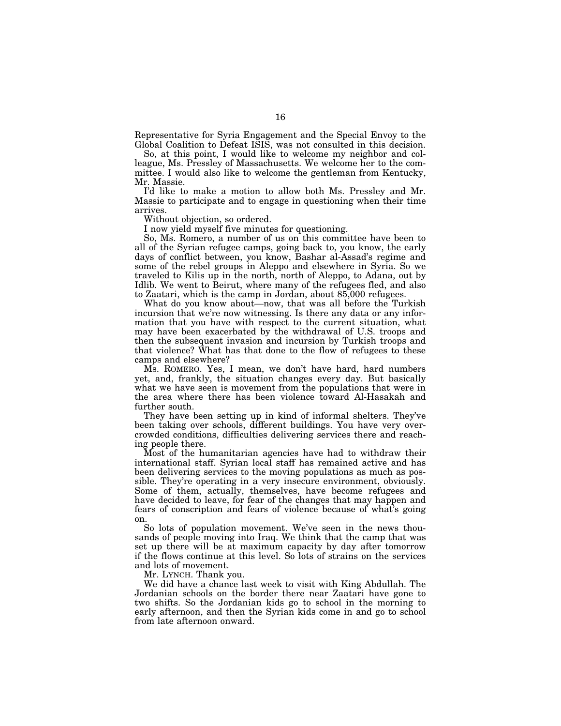Representative for Syria Engagement and the Special Envoy to the Global Coalition to Defeat ISIS, was not consulted in this decision.

So, at this point, I would like to welcome my neighbor and colleague, Ms. Pressley of Massachusetts. We welcome her to the committee. I would also like to welcome the gentleman from Kentucky, Mr. Massie.

I'd like to make a motion to allow both Ms. Pressley and Mr. Massie to participate and to engage in questioning when their time arrives.

Without objection, so ordered.

I now yield myself five minutes for questioning.

So, Ms. Romero, a number of us on this committee have been to all of the Syrian refugee camps, going back to, you know, the early days of conflict between, you know, Bashar al-Assad's regime and some of the rebel groups in Aleppo and elsewhere in Syria. So we traveled to Kilis up in the north, north of Aleppo, to Adana, out by Idlib. We went to Beirut, where many of the refugees fled, and also to Zaatari, which is the camp in Jordan, about 85,000 refugees.

What do you know about—now, that was all before the Turkish incursion that we're now witnessing. Is there any data or any information that you have with respect to the current situation, what may have been exacerbated by the withdrawal of U.S. troops and then the subsequent invasion and incursion by Turkish troops and that violence? What has that done to the flow of refugees to these camps and elsewhere?

Ms. ROMERO. Yes, I mean, we don't have hard, hard numbers yet, and, frankly, the situation changes every day. But basically what we have seen is movement from the populations that were in the area where there has been violence toward Al-Hasakah and further south.

They have been setting up in kind of informal shelters. They've been taking over schools, different buildings. You have very overcrowded conditions, difficulties delivering services there and reaching people there.

Most of the humanitarian agencies have had to withdraw their international staff. Syrian local staff has remained active and has been delivering services to the moving populations as much as possible. They're operating in a very insecure environment, obviously. Some of them, actually, themselves, have become refugees and have decided to leave, for fear of the changes that may happen and fears of conscription and fears of violence because of what's going on.

So lots of population movement. We've seen in the news thousands of people moving into Iraq. We think that the camp that was set up there will be at maximum capacity by day after tomorrow if the flows continue at this level. So lots of strains on the services and lots of movement.

Mr. LYNCH. Thank you.

We did have a chance last week to visit with King Abdullah. The Jordanian schools on the border there near Zaatari have gone to two shifts. So the Jordanian kids go to school in the morning to early afternoon, and then the Syrian kids come in and go to school from late afternoon onward.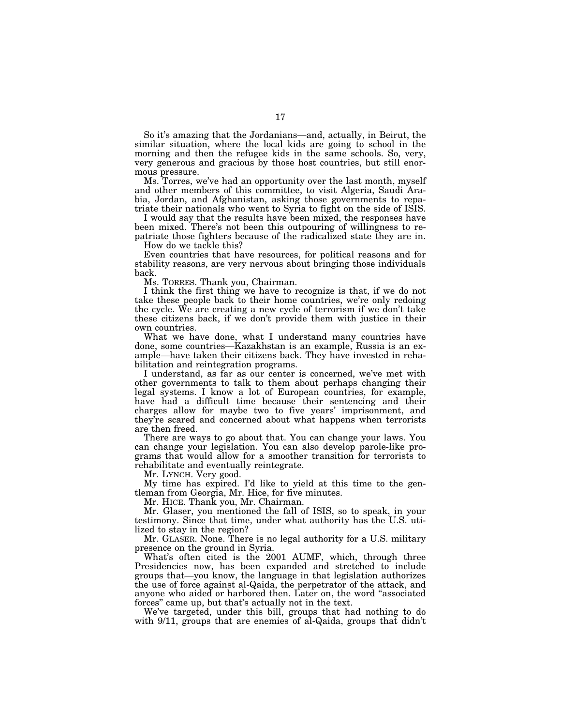So it's amazing that the Jordanians—and, actually, in Beirut, the similar situation, where the local kids are going to school in the morning and then the refugee kids in the same schools. So, very, very generous and gracious by those host countries, but still enormous pressure.

Ms. Torres, we've had an opportunity over the last month, myself and other members of this committee, to visit Algeria, Saudi Arabia, Jordan, and Afghanistan, asking those governments to repatriate their nationals who went to Syria to fight on the side of ISIS.

I would say that the results have been mixed, the responses have been mixed. There's not been this outpouring of willingness to repatriate those fighters because of the radicalized state they are in.

How do we tackle this?

Even countries that have resources, for political reasons and for stability reasons, are very nervous about bringing those individuals back.

Ms. TORRES. Thank you, Chairman.

I think the first thing we have to recognize is that, if we do not take these people back to their home countries, we're only redoing the cycle. We are creating a new cycle of terrorism if we don't take these citizens back, if we don't provide them with justice in their own countries.

What we have done, what I understand many countries have done, some countries—Kazakhstan is an example, Russia is an example—have taken their citizens back. They have invested in rehabilitation and reintegration programs.

I understand, as far as our center is concerned, we've met with other governments to talk to them about perhaps changing their legal systems. I know a lot of European countries, for example, have had a difficult time because their sentencing and their charges allow for maybe two to five years' imprisonment, and they're scared and concerned about what happens when terrorists are then freed.

There are ways to go about that. You can change your laws. You can change your legislation. You can also develop parole-like programs that would allow for a smoother transition for terrorists to rehabilitate and eventually reintegrate.

Mr. LYNCH. Very good.

My time has expired. I'd like to yield at this time to the gentleman from Georgia, Mr. Hice, for five minutes.

Mr. HICE. Thank you, Mr. Chairman.

Mr. Glaser, you mentioned the fall of ISIS, so to speak, in your testimony. Since that time, under what authority has the U.S. utilized to stay in the region?

Mr. GLASER. None. There is no legal authority for a U.S. military presence on the ground in Syria.

What's often cited is the 2001 AUMF, which, through three Presidencies now, has been expanded and stretched to include groups that—you know, the language in that legislation authorizes the use of force against al-Qaida, the perpetrator of the attack, and anyone who aided or harbored then. Later on, the word ''associated forces'' came up, but that's actually not in the text.

We've targeted, under this bill, groups that had nothing to do with 9/11, groups that are enemies of al-Qaida, groups that didn't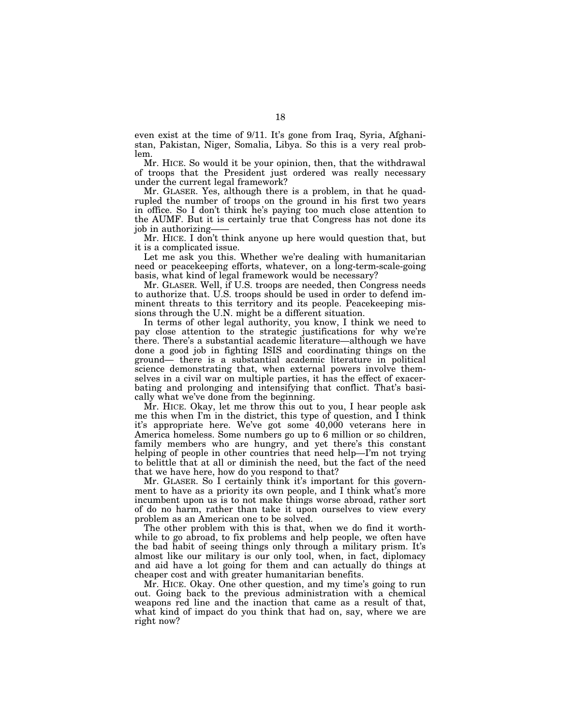even exist at the time of 9/11. It's gone from Iraq, Syria, Afghanistan, Pakistan, Niger, Somalia, Libya. So this is a very real problem.

Mr. HICE. So would it be your opinion, then, that the withdrawal of troops that the President just ordered was really necessary under the current legal framework?

Mr. GLASER. Yes, although there is a problem, in that he quadrupled the number of troops on the ground in his first two years in office. So I don't think he's paying too much close attention to the AUMF. But it is certainly true that Congress has not done its job in authorizing——

Mr. HICE. I don't think anyone up here would question that, but it is a complicated issue.

Let me ask you this. Whether we're dealing with humanitarian need or peacekeeping efforts, whatever, on a long-term-scale-going basis, what kind of legal framework would be necessary?

Mr. GLASER. Well, if U.S. troops are needed, then Congress needs to authorize that. U.S. troops should be used in order to defend imminent threats to this territory and its people. Peacekeeping missions through the U.N. might be a different situation.

In terms of other legal authority, you know, I think we need to pay close attention to the strategic justifications for why we're there. There's a substantial academic literature—although we have done a good job in fighting ISIS and coordinating things on the ground— there is a substantial academic literature in political science demonstrating that, when external powers involve themselves in a civil war on multiple parties, it has the effect of exacerbating and prolonging and intensifying that conflict. That's basically what we've done from the beginning.

Mr. HICE. Okay, let me throw this out to you, I hear people ask me this when I'm in the district, this type of question, and I think it's appropriate here. We've got some 40,000 veterans here in America homeless. Some numbers go up to 6 million or so children, family members who are hungry, and yet there's this constant helping of people in other countries that need help—I'm not trying to belittle that at all or diminish the need, but the fact of the need that we have here, how do you respond to that?

Mr. GLASER. So I certainly think it's important for this government to have as a priority its own people, and I think what's more incumbent upon us is to not make things worse abroad, rather sort of do no harm, rather than take it upon ourselves to view every problem as an American one to be solved.

The other problem with this is that, when we do find it worthwhile to go abroad, to fix problems and help people, we often have the bad habit of seeing things only through a military prism. It's almost like our military is our only tool, when, in fact, diplomacy and aid have a lot going for them and can actually do things at cheaper cost and with greater humanitarian benefits.

Mr. HICE. Okay. One other question, and my time's going to run out. Going back to the previous administration with a chemical weapons red line and the inaction that came as a result of that, what kind of impact do you think that had on, say, where we are right now?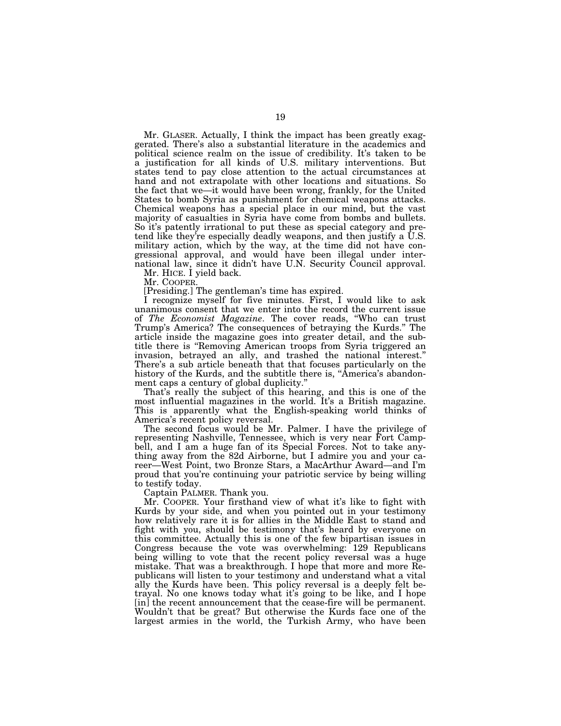Mr. GLASER. Actually, I think the impact has been greatly exaggerated. There's also a substantial literature in the academics and political science realm on the issue of credibility. It's taken to be a justification for all kinds of U.S. military interventions. But states tend to pay close attention to the actual circumstances at hand and not extrapolate with other locations and situations. So the fact that we—it would have been wrong, frankly, for the United States to bomb Syria as punishment for chemical weapons attacks. Chemical weapons has a special place in our mind, but the vast majority of casualties in Syria have come from bombs and bullets. So it's patently irrational to put these as special category and pretend like they're especially deadly weapons, and then justify a U.S. military action, which by the way, at the time did not have congressional approval, and would have been illegal under international law, since it didn't have U.N. Security Council approval.

Mr. HICE. I yield back.

Mr. COOPER.

[Presiding.] The gentleman's time has expired.

I recognize myself for five minutes. First, I would like to ask unanimous consent that we enter into the record the current issue of *The Economist Magazine*. The cover reads, ''Who can trust Trump's America? The consequences of betraying the Kurds.'' The article inside the magazine goes into greater detail, and the subtitle there is ''Removing American troops from Syria triggered an invasion, betrayed an ally, and trashed the national interest.'' There's a sub article beneath that that focuses particularly on the history of the Kurds, and the subtitle there is, "America's abandonment caps a century of global duplicity.''

That's really the subject of this hearing, and this is one of the most influential magazines in the world. It's a British magazine. This is apparently what the English-speaking world thinks of America's recent policy reversal.

The second focus would be Mr. Palmer. I have the privilege of representing Nashville, Tennessee, which is very near Fort Campbell, and I am a huge fan of its Special Forces. Not to take anything away from the 82d Airborne, but I admire you and your career—West Point, two Bronze Stars, a MacArthur Award—and I'm proud that you're continuing your patriotic service by being willing to testify today.

Captain PALMER. Thank you.

Mr. COOPER. Your firsthand view of what it's like to fight with Kurds by your side, and when you pointed out in your testimony how relatively rare it is for allies in the Middle East to stand and fight with you, should be testimony that's heard by everyone on this committee. Actually this is one of the few bipartisan issues in Congress because the vote was overwhelming: 129 Republicans being willing to vote that the recent policy reversal was a huge mistake. That was a breakthrough. I hope that more and more Republicans will listen to your testimony and understand what a vital ally the Kurds have been. This policy reversal is a deeply felt betrayal. No one knows today what it's going to be like, and I hope [in] the recent announcement that the cease-fire will be permanent. Wouldn't that be great? But otherwise the Kurds face one of the largest armies in the world, the Turkish Army, who have been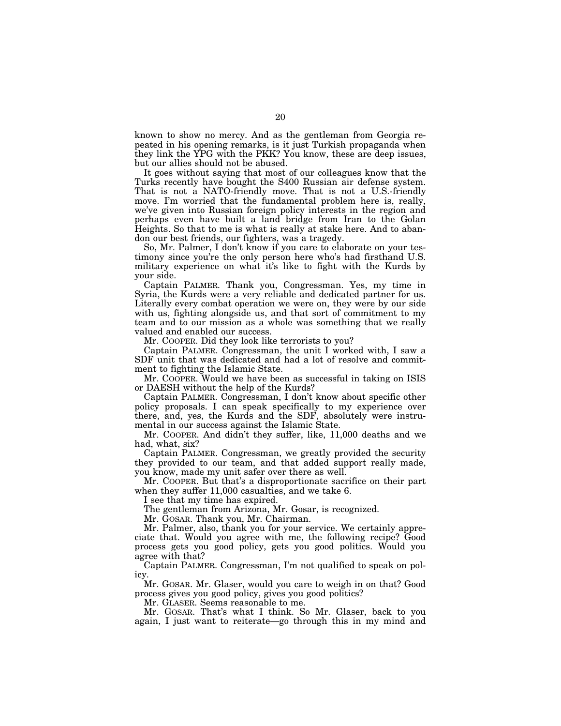known to show no mercy. And as the gentleman from Georgia repeated in his opening remarks, is it just Turkish propaganda when they link the YPG with the PKK? You know, these are deep issues, but our allies should not be abused.

It goes without saying that most of our colleagues know that the Turks recently have bought the S400 Russian air defense system. That is not a NATO-friendly move. That is not a U.S.-friendly move. I'm worried that the fundamental problem here is, really, we've given into Russian foreign policy interests in the region and perhaps even have built a land bridge from Iran to the Golan Heights. So that to me is what is really at stake here. And to abandon our best friends, our fighters, was a tragedy.

So, Mr. Palmer, I don't know if you care to elaborate on your testimony since you're the only person here who's had firsthand U.S. military experience on what it's like to fight with the Kurds by your side.

Captain PALMER. Thank you, Congressman. Yes, my time in Syria, the Kurds were a very reliable and dedicated partner for us. Literally every combat operation we were on, they were by our side with us, fighting alongside us, and that sort of commitment to my team and to our mission as a whole was something that we really valued and enabled our success.

Mr. COOPER. Did they look like terrorists to you?

Captain PALMER. Congressman, the unit I worked with, I saw a SDF unit that was dedicated and had a lot of resolve and commitment to fighting the Islamic State.

Mr. COOPER. Would we have been as successful in taking on ISIS or DAESH without the help of the Kurds?

Captain PALMER. Congressman, I don't know about specific other policy proposals. I can speak specifically to my experience over there, and, yes, the Kurds and the SDF, absolutely were instrumental in our success against the Islamic State.

Mr. COOPER. And didn't they suffer, like, 11,000 deaths and we had, what, six?

Captain PALMER. Congressman, we greatly provided the security they provided to our team, and that added support really made, you know, made my unit safer over there as well.

Mr. COOPER. But that's a disproportionate sacrifice on their part when they suffer 11,000 casualties, and we take 6.

I see that my time has expired.

The gentleman from Arizona, Mr. Gosar, is recognized.

Mr. GOSAR. Thank you, Mr. Chairman.

Mr. Palmer, also, thank you for your service. We certainly appreciate that. Would you agree with me, the following recipe? Good process gets you good policy, gets you good politics. Would you agree with that?

Captain PALMER. Congressman, I'm not qualified to speak on policy.

Mr. GOSAR. Mr. Glaser, would you care to weigh in on that? Good process gives you good policy, gives you good politics?

Mr. GLASER. Seems reasonable to me.

Mr. GOSAR. That's what I think. So Mr. Glaser, back to you again, I just want to reiterate—go through this in my mind and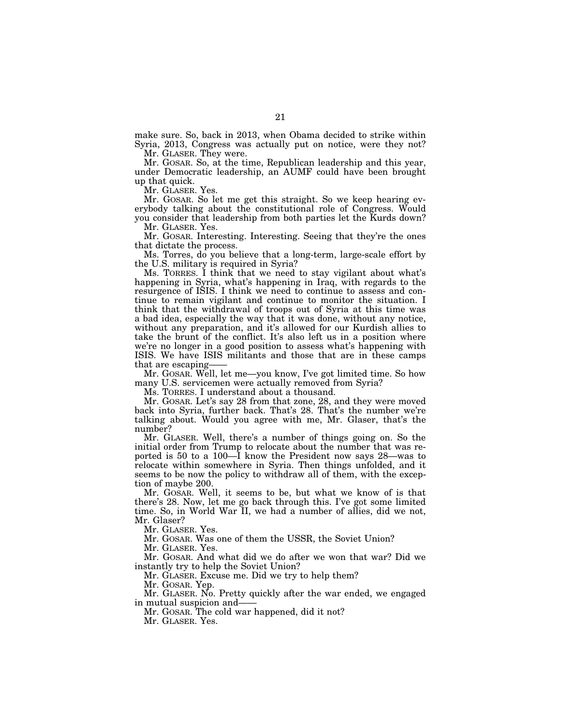make sure. So, back in 2013, when Obama decided to strike within Syria, 2013, Congress was actually put on notice, were they not? Mr. GLASER. They were.

Mr. GOSAR. So, at the time, Republican leadership and this year, under Democratic leadership, an AUMF could have been brought up that quick.

Mr. GLASER. Yes.

Mr. GOSAR. So let me get this straight. So we keep hearing everybody talking about the constitutional role of Congress. Would you consider that leadership from both parties let the Kurds down?

Mr. GLASER. Yes.

Mr. GOSAR. Interesting. Interesting. Seeing that they're the ones that dictate the process.

Ms. Torres, do you believe that a long-term, large-scale effort by the U.S. military is required in Syria?

Ms. TORRES. I think that we need to stay vigilant about what's happening in Syria, what's happening in Iraq, with regards to the resurgence of ISIS. I think we need to continue to assess and continue to remain vigilant and continue to monitor the situation. I think that the withdrawal of troops out of Syria at this time was a bad idea, especially the way that it was done, without any notice, without any preparation, and it's allowed for our Kurdish allies to take the brunt of the conflict. It's also left us in a position where we're no longer in a good position to assess what's happening with ISIS. We have ISIS militants and those that are in these camps that are escaping-

Mr. GOSAR. Well, let me—you know, I've got limited time. So how many U.S. servicemen were actually removed from Syria?

Ms. TORRES. I understand about a thousand.

Mr. GOSAR. Let's say 28 from that zone, 28, and they were moved back into Syria, further back. That's 28. That's the number we're talking about. Would you agree with me, Mr. Glaser, that's the number?

Mr. GLASER. Well, there's a number of things going on. So the initial order from Trump to relocate about the number that was reported is 50 to a 100—I know the President now says 28—was to relocate within somewhere in Syria. Then things unfolded, and it seems to be now the policy to withdraw all of them, with the exception of maybe 200.

Mr. GOSAR. Well, it seems to be, but what we know of is that there's 28. Now, let me go back through this. I've got some limited time. So, in World War II, we had a number of allies, did we not, Mr. Glaser?

Mr. GLASER. Yes.

Mr. GOSAR. Was one of them the USSR, the Soviet Union?

Mr. GLASER. Yes.

Mr. GOSAR. And what did we do after we won that war? Did we instantly try to help the Soviet Union?

Mr. GLASER. Excuse me. Did we try to help them?

Mr. GOSAR. Yep.

Mr. GLASER. No. Pretty quickly after the war ended, we engaged in mutual suspicion and-

Mr. GOSAR. The cold war happened, did it not?

Mr. GLASER. Yes.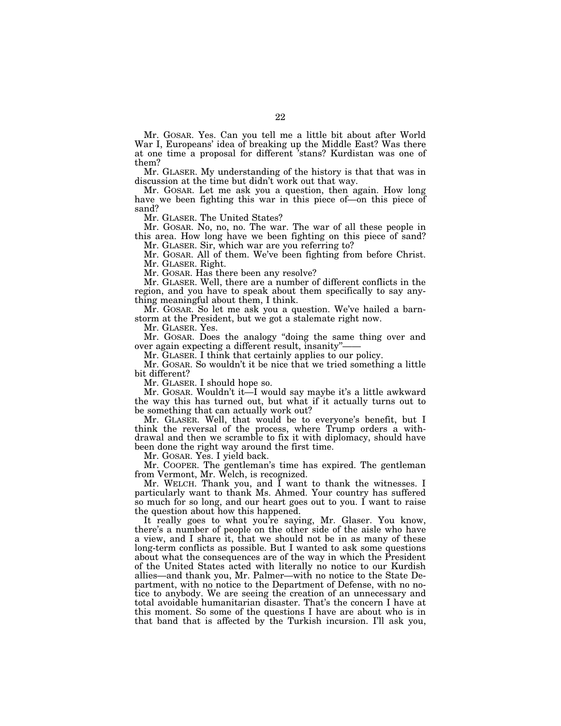Mr. GOSAR. Yes. Can you tell me a little bit about after World War I, Europeans' idea of breaking up the Middle East? Was there at one time a proposal for different 'stans? Kurdistan was one of them?

Mr. GLASER. My understanding of the history is that that was in discussion at the time but didn't work out that way.

Mr. GOSAR. Let me ask you a question, then again. How long have we been fighting this war in this piece of—on this piece of sand?

Mr. GLASER. The United States?

Mr. GOSAR. No, no, no. The war. The war of all these people in this area. How long have we been fighting on this piece of sand? Mr. GLASER. Sir, which war are you referring to?

Mr. GOSAR. All of them. We've been fighting from before Christ. Mr. GLASER. Right.

Mr. GOSAR. Has there been any resolve?

Mr. GLASER. Well, there are a number of different conflicts in the region, and you have to speak about them specifically to say anything meaningful about them, I think.

Mr. GOSAR. So let me ask you a question. We've hailed a barnstorm at the President, but we got a stalemate right now.

Mr. GLASER. Yes.

Mr. GOSAR. Does the analogy ''doing the same thing over and over again expecting a different result, insanity"-

Mr. GLASER. I think that certainly applies to our policy.

Mr. GOSAR. So wouldn't it be nice that we tried something a little bit different?

Mr. GLASER. I should hope so.

Mr. GOSAR. Wouldn't it—I would say maybe it's a little awkward the way this has turned out, but what if it actually turns out to be something that can actually work out?

Mr. GLASER. Well, that would be to everyone's benefit, but I think the reversal of the process, where Trump orders a withdrawal and then we scramble to fix it with diplomacy, should have been done the right way around the first time.

Mr. GOSAR. Yes. I yield back.

Mr. COOPER. The gentleman's time has expired. The gentleman from Vermont, Mr. Welch, is recognized.

Mr. WELCH. Thank you, and I want to thank the witnesses. I particularly want to thank Ms. Ahmed. Your country has suffered so much for so long, and our heart goes out to you. I want to raise the question about how this happened.

It really goes to what you're saying, Mr. Glaser. You know, there's a number of people on the other side of the aisle who have a view, and I share it, that we should not be in as many of these long-term conflicts as possible. But I wanted to ask some questions about what the consequences are of the way in which the President of the United States acted with literally no notice to our Kurdish allies—and thank you, Mr. Palmer—with no notice to the State Department, with no notice to the Department of Defense, with no notice to anybody. We are seeing the creation of an unnecessary and total avoidable humanitarian disaster. That's the concern I have at this moment. So some of the questions I have are about who is in that band that is affected by the Turkish incursion. I'll ask you,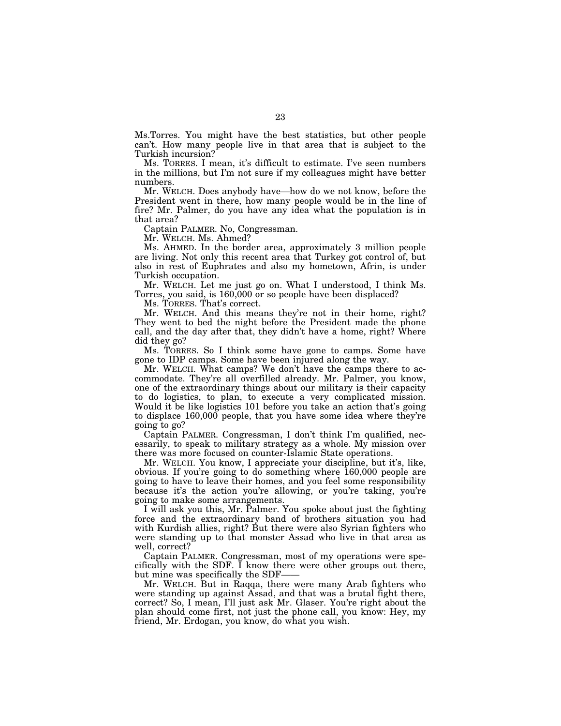Ms.Torres. You might have the best statistics, but other people can't. How many people live in that area that is subject to the Turkish incursion?

Ms. TORRES. I mean, it's difficult to estimate. I've seen numbers in the millions, but I'm not sure if my colleagues might have better numbers.

Mr. WELCH. Does anybody have—how do we not know, before the President went in there, how many people would be in the line of fire? Mr. Palmer, do you have any idea what the population is in that area?

Captain PALMER. No, Congressman.

Mr. WELCH. Ms. Ahmed?

Ms. AHMED. In the border area, approximately 3 million people are living. Not only this recent area that Turkey got control of, but also in rest of Euphrates and also my hometown, Afrin, is under Turkish occupation.

Mr. WELCH. Let me just go on. What I understood, I think Ms. Torres, you said, is 160,000 or so people have been displaced?

Ms. TORRES. That's correct.

Mr. WELCH. And this means they're not in their home, right? They went to bed the night before the President made the phone call, and the day after that, they didn't have a home, right? Where did they go?

Ms. TORRES. So I think some have gone to camps. Some have gone to IDP camps. Some have been injured along the way.

Mr. WELCH. What camps? We don't have the camps there to accommodate. They're all overfilled already. Mr. Palmer, you know, one of the extraordinary things about our military is their capacity to do logistics, to plan, to execute a very complicated mission. Would it be like logistics 101 before you take an action that's going to displace 160,000 people, that you have some idea where they're going to go?

Captain PALMER. Congressman, I don't think I'm qualified, necessarily, to speak to military strategy as a whole. My mission over there was more focused on counter-Islamic State operations.

Mr. WELCH. You know, I appreciate your discipline, but it's, like, obvious. If you're going to do something where 160,000 people are going to have to leave their homes, and you feel some responsibility because it's the action you're allowing, or you're taking, you're going to make some arrangements.

I will ask you this, Mr. Palmer. You spoke about just the fighting force and the extraordinary band of brothers situation you had with Kurdish allies, right? But there were also Syrian fighters who were standing up to that monster Assad who live in that area as well, correct?

Captain PALMER. Congressman, most of my operations were specifically with the SDF. I know there were other groups out there, but mine was specifically the SDF-

Mr. WELCH. But in Raqqa, there were many Arab fighters who were standing up against Assad, and that was a brutal fight there, correct? So, I mean, I'll just ask Mr. Glaser. You're right about the plan should come first, not just the phone call, you know: Hey, my friend, Mr. Erdogan, you know, do what you wish.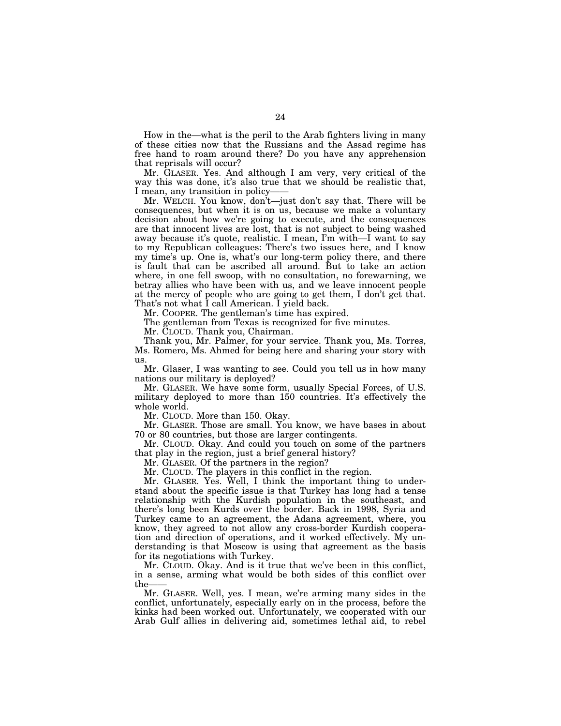How in the—what is the peril to the Arab fighters living in many of these cities now that the Russians and the Assad regime has free hand to roam around there? Do you have any apprehension that reprisals will occur?

Mr. GLASER. Yes. And although I am very, very critical of the way this was done, it's also true that we should be realistic that, I mean, any transition in policy-

Mr. WELCH. You know, don't—just don't say that. There will be consequences, but when it is on us, because we make a voluntary decision about how we're going to execute, and the consequences are that innocent lives are lost, that is not subject to being washed away because it's quote, realistic. I mean, I'm with—I want to say to my Republican colleagues: There's two issues here, and I know my time's up. One is, what's our long-term policy there, and there is fault that can be ascribed all around. But to take an action where, in one fell swoop, with no consultation, no forewarning, we betray allies who have been with us, and we leave innocent people at the mercy of people who are going to get them, I don't get that. That's not what I call American. I yield back.

Mr. COOPER. The gentleman's time has expired.

The gentleman from Texas is recognized for five minutes.

Mr. CLOUD. Thank you, Chairman.

Thank you, Mr. Palmer, for your service. Thank you, Ms. Torres, Ms. Romero, Ms. Ahmed for being here and sharing your story with us.

Mr. Glaser, I was wanting to see. Could you tell us in how many nations our military is deployed?

Mr. GLASER. We have some form, usually Special Forces, of U.S. military deployed to more than 150 countries. It's effectively the whole world.

Mr. CLOUD. More than 150. Okay.

Mr. GLASER. Those are small. You know, we have bases in about 70 or 80 countries, but those are larger contingents.

Mr. CLOUD. Okay. And could you touch on some of the partners that play in the region, just a brief general history?

Mr. GLASER. Of the partners in the region?

Mr. CLOUD. The players in this conflict in the region.

Mr. GLASER. Yes. Well, I think the important thing to understand about the specific issue is that Turkey has long had a tense relationship with the Kurdish population in the southeast, and there's long been Kurds over the border. Back in 1998, Syria and Turkey came to an agreement, the Adana agreement, where, you know, they agreed to not allow any cross-border Kurdish cooperation and direction of operations, and it worked effectively. My understanding is that Moscow is using that agreement as the basis for its negotiations with Turkey.

Mr. CLOUD. Okay. And is it true that we've been in this conflict, in a sense, arming what would be both sides of this conflict over the——

Mr. GLASER. Well, yes. I mean, we're arming many sides in the conflict, unfortunately, especially early on in the process, before the kinks had been worked out. Unfortunately, we cooperated with our Arab Gulf allies in delivering aid, sometimes lethal aid, to rebel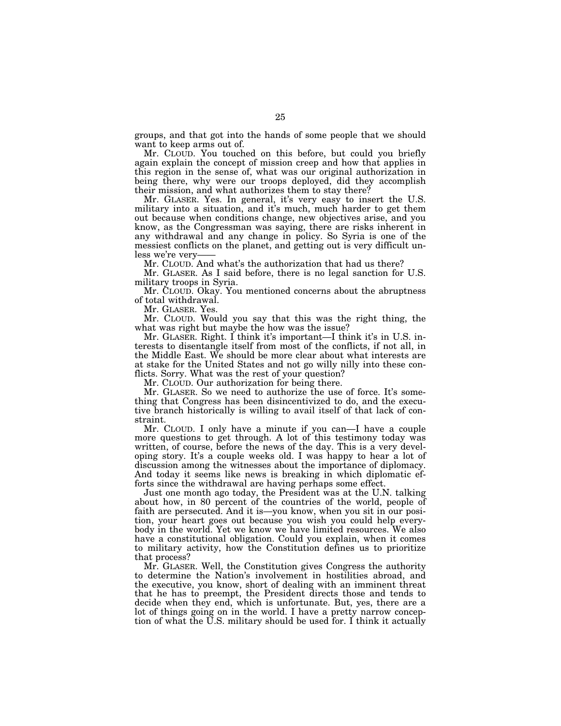groups, and that got into the hands of some people that we should want to keep arms out of.

Mr. CLOUD. You touched on this before, but could you briefly again explain the concept of mission creep and how that applies in this region in the sense of, what was our original authorization in being there, why were our troops deployed, did they accomplish their mission, and what authorizes them to stay there?

Mr. GLASER. Yes. In general, it's very easy to insert the U.S. military into a situation, and it's much, much harder to get them out because when conditions change, new objectives arise, and you know, as the Congressman was saying, there are risks inherent in any withdrawal and any change in policy. So Syria is one of the messiest conflicts on the planet, and getting out is very difficult unless we're very-

Mr. CLOUD. And what's the authorization that had us there?

Mr. GLASER. As I said before, there is no legal sanction for U.S. military troops in Syria.

Mr. CLOUD. Okay. You mentioned concerns about the abruptness of total withdrawal.

Mr. GLASER. Yes.

Mr. CLOUD. Would you say that this was the right thing, the what was right but maybe the how was the issue?

Mr. GLASER. Right. I think it's important—I think it's in U.S. interests to disentangle itself from most of the conflicts, if not all, in the Middle East. We should be more clear about what interests are at stake for the United States and not go willy nilly into these conflicts. Sorry. What was the rest of your question?

Mr. CLOUD. Our authorization for being there.

Mr. GLASER. So we need to authorize the use of force. It's something that Congress has been disincentivized to do, and the executive branch historically is willing to avail itself of that lack of constraint.

Mr. CLOUD. I only have a minute if you can—I have a couple more questions to get through. A lot of this testimony today was written, of course, before the news of the day. This is a very developing story. It's a couple weeks old. I was happy to hear a lot of discussion among the witnesses about the importance of diplomacy. And today it seems like news is breaking in which diplomatic efforts since the withdrawal are having perhaps some effect.

Just one month ago today, the President was at the U.N. talking about how, in 80 percent of the countries of the world, people of faith are persecuted. And it is—you know, when you sit in our position, your heart goes out because you wish you could help everybody in the world. Yet we know we have limited resources. We also have a constitutional obligation. Could you explain, when it comes to military activity, how the Constitution defines us to prioritize that process?

Mr. GLASER. Well, the Constitution gives Congress the authority to determine the Nation's involvement in hostilities abroad, and the executive, you know, short of dealing with an imminent threat that he has to preempt, the President directs those and tends to decide when they end, which is unfortunate. But, yes, there are a lot of things going on in the world. I have a pretty narrow conception of what the U.S. military should be used for. I think it actually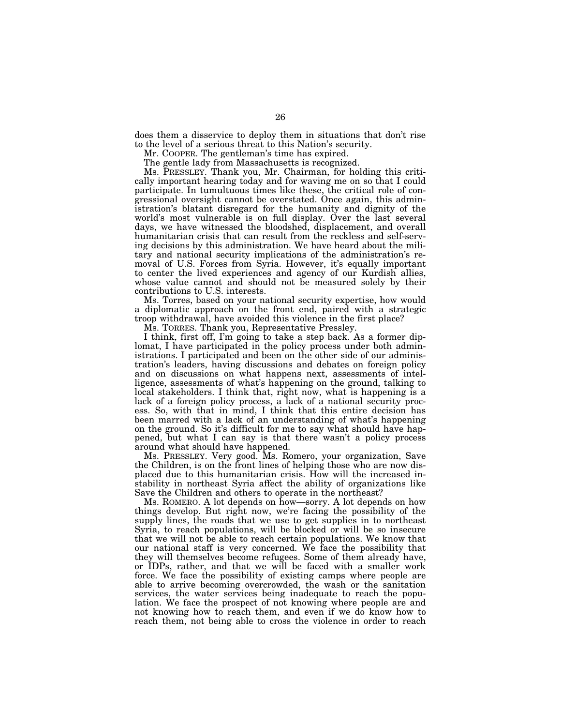does them a disservice to deploy them in situations that don't rise to the level of a serious threat to this Nation's security.

Mr. COOPER. The gentleman's time has expired.

The gentle lady from Massachusetts is recognized.

Ms. PRESSLEY. Thank you, Mr. Chairman, for holding this critically important hearing today and for waving me on so that I could participate. In tumultuous times like these, the critical role of congressional oversight cannot be overstated. Once again, this administration's blatant disregard for the humanity and dignity of the world's most vulnerable is on full display. Over the last several days, we have witnessed the bloodshed, displacement, and overall humanitarian crisis that can result from the reckless and self-serving decisions by this administration. We have heard about the military and national security implications of the administration's removal of U.S. Forces from Syria. However, it's equally important to center the lived experiences and agency of our Kurdish allies, whose value cannot and should not be measured solely by their contributions to U.S. interests.

Ms. Torres, based on your national security expertise, how would a diplomatic approach on the front end, paired with a strategic troop withdrawal, have avoided this violence in the first place?

Ms. TORRES. Thank you, Representative Pressley.

I think, first off, I'm going to take a step back. As a former diplomat, I have participated in the policy process under both administrations. I participated and been on the other side of our administration's leaders, having discussions and debates on foreign policy and on discussions on what happens next, assessments of intelligence, assessments of what's happening on the ground, talking to local stakeholders. I think that, right now, what is happening is a lack of a foreign policy process, a lack of a national security process. So, with that in mind, I think that this entire decision has been marred with a lack of an understanding of what's happening on the ground. So it's difficult for me to say what should have happened, but what I can say is that there wasn't a policy process around what should have happened.

Ms. PRESSLEY. Very good. Ms. Romero, your organization, Save the Children, is on the front lines of helping those who are now displaced due to this humanitarian crisis. How will the increased instability in northeast Syria affect the ability of organizations like Save the Children and others to operate in the northeast?

Ms. ROMERO. A lot depends on how—sorry. A lot depends on how things develop. But right now, we're facing the possibility of the supply lines, the roads that we use to get supplies in to northeast Syria, to reach populations, will be blocked or will be so insecure that we will not be able to reach certain populations. We know that our national staff is very concerned. We face the possibility that they will themselves become refugees. Some of them already have, or IDPs, rather, and that we will be faced with a smaller work force. We face the possibility of existing camps where people are able to arrive becoming overcrowded, the wash or the sanitation services, the water services being inadequate to reach the population. We face the prospect of not knowing where people are and not knowing how to reach them, and even if we do know how to reach them, not being able to cross the violence in order to reach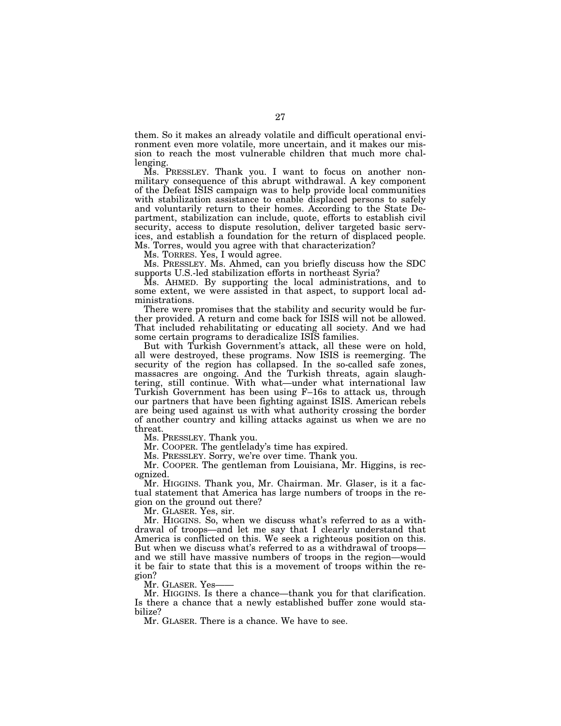them. So it makes an already volatile and difficult operational environment even more volatile, more uncertain, and it makes our mission to reach the most vulnerable children that much more challenging.

Ms. PRESSLEY. Thank you. I want to focus on another nonmilitary consequence of this abrupt withdrawal. A key component of the Defeat ISIS campaign was to help provide local communities with stabilization assistance to enable displaced persons to safely and voluntarily return to their homes. According to the State Department, stabilization can include, quote, efforts to establish civil security, access to dispute resolution, deliver targeted basic services, and establish a foundation for the return of displaced people. Ms. Torres, would you agree with that characterization?

Ms. TORRES. Yes, I would agree.

Ms. PRESSLEY. Ms. Ahmed, can you briefly discuss how the SDC supports U.S.-led stabilization efforts in northeast Syria?

Ms. AHMED. By supporting the local administrations, and to some extent, we were assisted in that aspect, to support local administrations.

There were promises that the stability and security would be further provided. A return and come back for ISIS will not be allowed. That included rehabilitating or educating all society. And we had some certain programs to deradicalize ISIS families.

But with Turkish Government's attack, all these were on hold, all were destroyed, these programs. Now ISIS is reemerging. The security of the region has collapsed. In the so-called safe zones, massacres are ongoing. And the Turkish threats, again slaughtering, still continue. With what—under what international law Turkish Government has been using F–16s to attack us, through our partners that have been fighting against ISIS. American rebels are being used against us with what authority crossing the border of another country and killing attacks against us when we are no threat.

Ms. PRESSLEY. Thank you.

Mr. COOPER. The gentlelady's time has expired.

Ms. PRESSLEY. Sorry, we're over time. Thank you.

Mr. COOPER. The gentleman from Louisiana, Mr. Higgins, is recognized.

Mr. HIGGINS. Thank you, Mr. Chairman. Mr. Glaser, is it a factual statement that America has large numbers of troops in the region on the ground out there?

Mr. GLASER. Yes, sir.

Mr. HIGGINS. So, when we discuss what's referred to as a withdrawal of troops—and let me say that I clearly understand that America is conflicted on this. We seek a righteous position on this. But when we discuss what's referred to as a withdrawal of troops and we still have massive numbers of troops in the region—would it be fair to state that this is a movement of troops within the region?

Mr. GLASER. Yes-

Mr. HIGGINS. Is there a chance—thank you for that clarification. Is there a chance that a newly established buffer zone would stabilize?

Mr. GLASER. There is a chance. We have to see.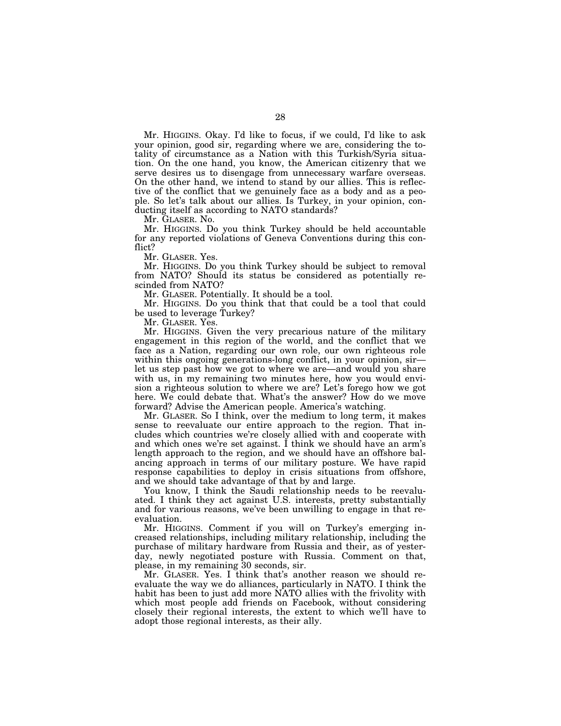Mr. HIGGINS. Okay. I'd like to focus, if we could, I'd like to ask your opinion, good sir, regarding where we are, considering the totality of circumstance as a Nation with this Turkish/Syria situation. On the one hand, you know, the American citizenry that we serve desires us to disengage from unnecessary warfare overseas. On the other hand, we intend to stand by our allies. This is reflective of the conflict that we genuinely face as a body and as a people. So let's talk about our allies. Is Turkey, in your opinion, conducting itself as according to NATO standards?

Mr. GLASER. No.

Mr. HIGGINS. Do you think Turkey should be held accountable for any reported violations of Geneva Conventions during this conflict?

Mr. GLASER. Yes.

Mr. HIGGINS. Do you think Turkey should be subject to removal from NATO? Should its status be considered as potentially rescinded from NATO?

Mr. GLASER. Potentially. It should be a tool.

Mr. HIGGINS. Do you think that that could be a tool that could be used to leverage Turkey?

Mr. GLASER. Yes.

Mr. HIGGINS. Given the very precarious nature of the military engagement in this region of the world, and the conflict that we face as a Nation, regarding our own role, our own righteous role within this ongoing generations-long conflict, in your opinion, sir let us step past how we got to where we are—and would you share with us, in my remaining two minutes here, how you would envision a righteous solution to where we are? Let's forego how we got here. We could debate that. What's the answer? How do we move forward? Advise the American people. America's watching.

Mr. GLASER. So I think, over the medium to long term, it makes sense to reevaluate our entire approach to the region. That includes which countries we're closely allied with and cooperate with and which ones we're set against. I think we should have an arm's length approach to the region, and we should have an offshore balancing approach in terms of our military posture. We have rapid response capabilities to deploy in crisis situations from offshore, and we should take advantage of that by and large.

You know, I think the Saudi relationship needs to be reevaluated. I think they act against U.S. interests, pretty substantially and for various reasons, we've been unwilling to engage in that reevaluation.

Mr. HIGGINS. Comment if you will on Turkey's emerging increased relationships, including military relationship, including the purchase of military hardware from Russia and their, as of yesterday, newly negotiated posture with Russia. Comment on that, please, in my remaining 30 seconds, sir.

Mr. GLASER. Yes. I think that's another reason we should reevaluate the way we do alliances, particularly in NATO. I think the habit has been to just add more NATO allies with the frivolity with which most people add friends on Facebook, without considering closely their regional interests, the extent to which we'll have to adopt those regional interests, as their ally.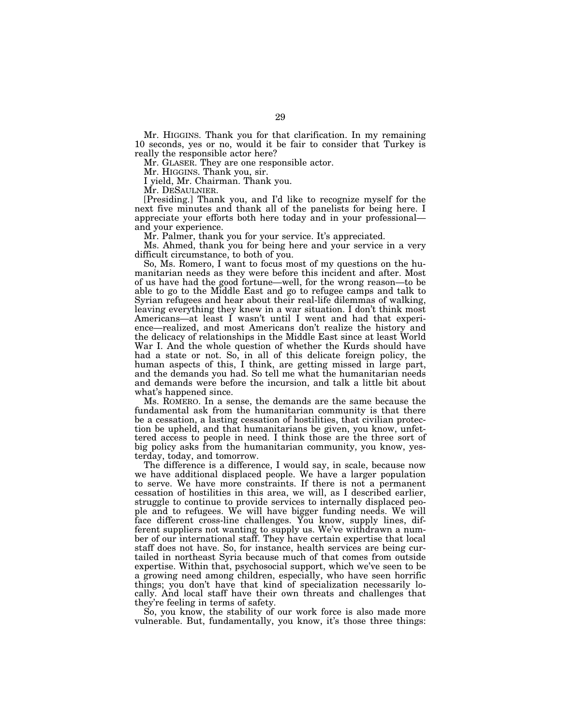Mr. HIGGINS. Thank you for that clarification. In my remaining 10 seconds, yes or no, would it be fair to consider that Turkey is really the responsible actor here?

Mr. GLASER. They are one responsible actor.

Mr. HIGGINS. Thank you, sir.

I yield, Mr. Chairman. Thank you.

Mr. DESAULNIER. [Presiding.] Thank you, and I'd like to recognize myself for the next five minutes and thank all of the panelists for being here. I appreciate your efforts both here today and in your professional and your experience.

Mr. Palmer, thank you for your service. It's appreciated.

Ms. Ahmed, thank you for being here and your service in a very difficult circumstance, to both of you.

So, Ms. Romero, I want to focus most of my questions on the humanitarian needs as they were before this incident and after. Most of us have had the good fortune—well, for the wrong reason—to be able to go to the Middle East and go to refugee camps and talk to Syrian refugees and hear about their real-life dilemmas of walking, leaving everything they knew in a war situation. I don't think most Americans—at least I wasn't until I went and had that experience—realized, and most Americans don't realize the history and the delicacy of relationships in the Middle East since at least World War I. And the whole question of whether the Kurds should have had a state or not. So, in all of this delicate foreign policy, the human aspects of this, I think, are getting missed in large part, and the demands you had. So tell me what the humanitarian needs and demands were before the incursion, and talk a little bit about what's happened since.

Ms. ROMERO. In a sense, the demands are the same because the fundamental ask from the humanitarian community is that there be a cessation, a lasting cessation of hostilities, that civilian protection be upheld, and that humanitarians be given, you know, unfettered access to people in need. I think those are the three sort of big policy asks from the humanitarian community, you know, yesterday, today, and tomorrow.

The difference is a difference, I would say, in scale, because now we have additional displaced people. We have a larger population to serve. We have more constraints. If there is not a permanent cessation of hostilities in this area, we will, as I described earlier, struggle to continue to provide services to internally displaced people and to refugees. We will have bigger funding needs. We will face different cross-line challenges. You know, supply lines, different suppliers not wanting to supply us. We've withdrawn a number of our international staff. They have certain expertise that local staff does not have. So, for instance, health services are being curtailed in northeast Syria because much of that comes from outside expertise. Within that, psychosocial support, which we've seen to be a growing need among children, especially, who have seen horrific things; you don't have that kind of specialization necessarily locally. And local staff have their own threats and challenges that they're feeling in terms of safety.

So, you know, the stability of our work force is also made more vulnerable. But, fundamentally, you know, it's those three things: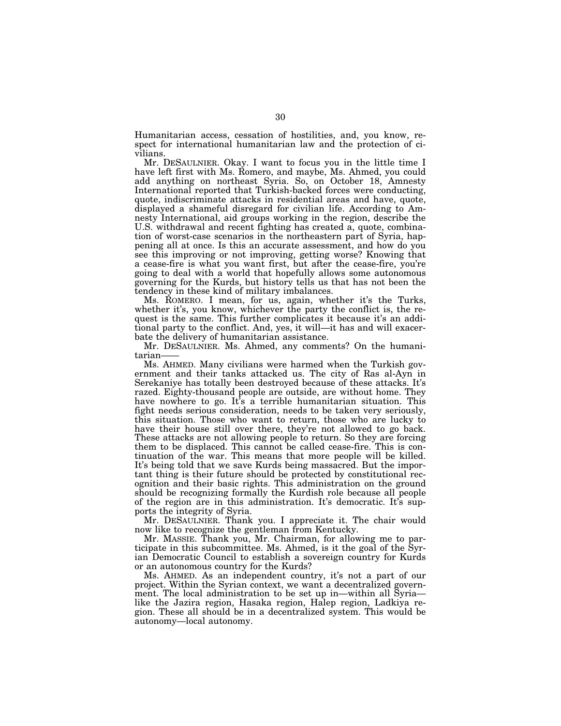Humanitarian access, cessation of hostilities, and, you know, respect for international humanitarian law and the protection of civilians.

Mr. DESAULNIER. Okay. I want to focus you in the little time I have left first with Ms. Romero, and maybe, Ms. Ahmed, you could add anything on northeast Syria. So, on October 18, Amnesty International reported that Turkish-backed forces were conducting, quote, indiscriminate attacks in residential areas and have, quote, displayed a shameful disregard for civilian life. According to Amnesty International, aid groups working in the region, describe the U.S. withdrawal and recent fighting has created a, quote, combination of worst-case scenarios in the northeastern part of Syria, happening all at once. Is this an accurate assessment, and how do you see this improving or not improving, getting worse? Knowing that a cease-fire is what you want first, but after the cease-fire, you're going to deal with a world that hopefully allows some autonomous governing for the Kurds, but history tells us that has not been the tendency in these kind of military imbalances.

Ms. ROMERO. I mean, for us, again, whether it's the Turks, whether it's, you know, whichever the party the conflict is, the request is the same. This further complicates it because it's an additional party to the conflict. And, yes, it will—it has and will exacerbate the delivery of humanitarian assistance.

Mr. DESAULNIER. Ms. Ahmed, any comments? On the humanitarian-

Ms. AHMED. Many civilians were harmed when the Turkish government and their tanks attacked us. The city of Ras al-Ayn in Serekaniye has totally been destroyed because of these attacks. It's razed. Eighty-thousand people are outside, are without home. They have nowhere to go. It's a terrible humanitarian situation. This fight needs serious consideration, needs to be taken very seriously, this situation. Those who want to return, those who are lucky to have their house still over there, they're not allowed to go back. These attacks are not allowing people to return. So they are forcing them to be displaced. This cannot be called cease-fire. This is continuation of the war. This means that more people will be killed. It's being told that we save Kurds being massacred. But the important thing is their future should be protected by constitutional recognition and their basic rights. This administration on the ground should be recognizing formally the Kurdish role because all people of the region are in this administration. It's democratic. It's supports the integrity of Syria.

Mr. DESAULNIER. Thank you. I appreciate it. The chair would now like to recognize the gentleman from Kentucky.

Mr. MASSIE. Thank you, Mr. Chairman, for allowing me to participate in this subcommittee. Ms. Ahmed, is it the goal of the Syrian Democratic Council to establish a sovereign country for Kurds or an autonomous country for the Kurds?

Ms. AHMED. As an independent country, it's not a part of our project. Within the Syrian context, we want a decentralized government. The local administration to be set up in—within all Syria like the Jazira region, Hasaka region, Halep region, Ladkiya region. These all should be in a decentralized system. This would be autonomy—local autonomy.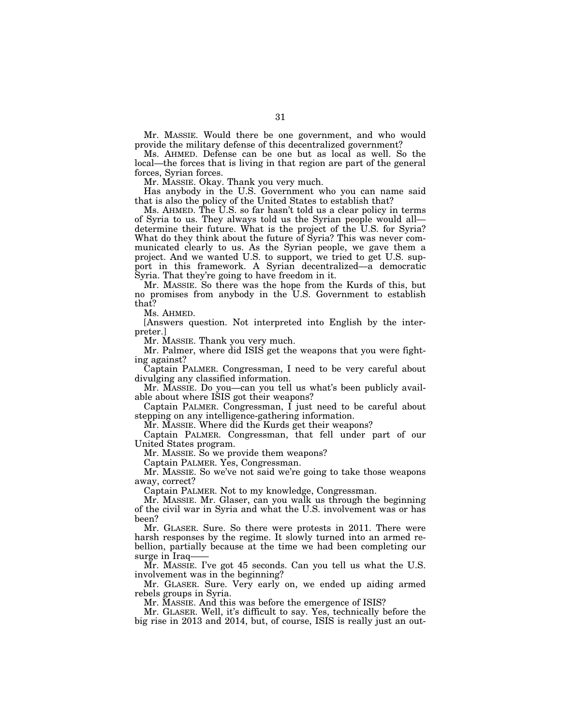Mr. MASSIE. Would there be one government, and who would provide the military defense of this decentralized government?

Ms. AHMED. Defense can be one but as local as well. So the local—the forces that is living in that region are part of the general forces, Syrian forces.

Mr. MASSIE. Okay. Thank you very much.

Has anybody in the U.S. Government who you can name said that is also the policy of the United States to establish that?

Ms. AHMED. The U.S. so far hasn't told us a clear policy in terms of Syria to us. They always told us the Syrian people would all determine their future. What is the project of the U.S. for Syria? What do they think about the future of Syria? This was never communicated clearly to us. As the Syrian people, we gave them a project. And we wanted U.S. to support, we tried to get U.S. support in this framework. A Syrian decentralized—a democratic Syria. That they're going to have freedom in it.

Mr. MASSIE. So there was the hope from the Kurds of this, but no promises from anybody in the U.S. Government to establish that?

Ms. AHMED.

[Answers question. Not interpreted into English by the interpreter.]

Mr. MASSIE. Thank you very much.

Mr. Palmer, where did ISIS get the weapons that you were fighting against?

Captain PALMER. Congressman, I need to be very careful about divulging any classified information.

Mr. MASSIE. Do you—can you tell us what's been publicly available about where ISIS got their weapons?

Captain PALMER. Congressman, I just need to be careful about stepping on any intelligence-gathering information.

Mr. MASSIE. Where did the Kurds get their weapons?

Captain PALMER. Congressman, that fell under part of our United States program.

Mr. MASSIE. So we provide them weapons?

Captain PALMER. Yes, Congressman.

Mr. MASSIE. So we've not said we're going to take those weapons away, correct?

Captain PALMER. Not to my knowledge, Congressman.

Mr. MASSIE. Mr. Glaser, can you walk us through the beginning of the civil war in Syria and what the U.S. involvement was or has been?

Mr. GLASER. Sure. So there were protests in 2011. There were harsh responses by the regime. It slowly turned into an armed rebellion, partially because at the time we had been completing our surge in Iraq-

Mr. MASSIE. I've got 45 seconds. Can you tell us what the U.S. involvement was in the beginning?

Mr. GLASER. Sure. Very early on, we ended up aiding armed rebels groups in Syria.

Mr. MASSIE. And this was before the emergence of ISIS?

Mr. GLASER. Well, it's difficult to say. Yes, technically before the big rise in 2013 and 2014, but, of course, ISIS is really just an out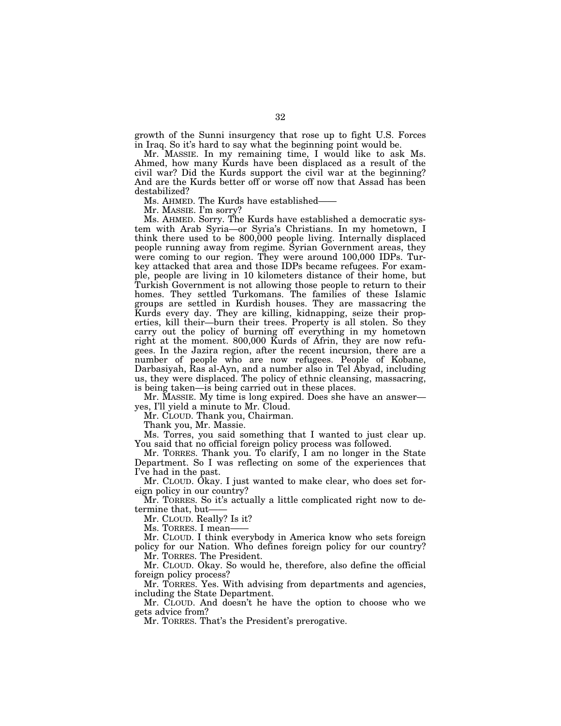growth of the Sunni insurgency that rose up to fight U.S. Forces in Iraq. So it's hard to say what the beginning point would be.

Mr. MASSIE. In my remaining time, I would like to ask Ms. Ahmed, how many Kurds have been displaced as a result of the civil war? Did the Kurds support the civil war at the beginning? And are the Kurds better off or worse off now that Assad has been destabilized?

Ms. AHMED. The Kurds have established——

Mr. MASSIE. I'm sorry?

Ms. AHMED. Sorry. The Kurds have established a democratic system with Arab Syria—or Syria's Christians. In my hometown, I think there used to be 800,000 people living. Internally displaced people running away from regime. Syrian Government areas, they were coming to our region. They were around 100,000 IDPs. Turkey attacked that area and those IDPs became refugees. For example, people are living in 10 kilometers distance of their home, but Turkish Government is not allowing those people to return to their homes. They settled Turkomans. The families of these Islamic groups are settled in Kurdish houses. They are massacring the Kurds every day. They are killing, kidnapping, seize their properties, kill their—burn their trees. Property is all stolen. So they carry out the policy of burning off everything in my hometown right at the moment. 800,000 Kurds of Afrin, they are now refugees. In the Jazira region, after the recent incursion, there are a number of people who are now refugees. People of Kobane, Darbasiyah, Ras al-Ayn, and a number also in Tel Abyad, including us, they were displaced. The policy of ethnic cleansing, massacring, is being taken—is being carried out in these places.

Mr. MASSIE. My time is long expired. Does she have an answer yes, I'll yield a minute to Mr. Cloud.

Mr. CLOUD. Thank you, Chairman.

Thank you, Mr. Massie.

Ms. Torres, you said something that I wanted to just clear up. You said that no official foreign policy process was followed.

Mr. TORRES. Thank you. To clarify, I am no longer in the State Department. So I was reflecting on some of the experiences that I've had in the past.

Mr. CLOUD. Okay. I just wanted to make clear, who does set foreign policy in our country?

Mr. TORRES. So it's actually a little complicated right now to determine that, but-

Mr. CLOUD. Really? Is it?

Ms. TORRES. I mean-

Mr. CLOUD. I think everybody in America know who sets foreign policy for our Nation. Who defines foreign policy for our country?

Mr. TORRES. The President.

Mr. CLOUD. Okay. So would he, therefore, also define the official foreign policy process?

Mr. TORRES. Yes. With advising from departments and agencies, including the State Department.

Mr. CLOUD. And doesn't he have the option to choose who we gets advice from?

Mr. TORRES. That's the President's prerogative.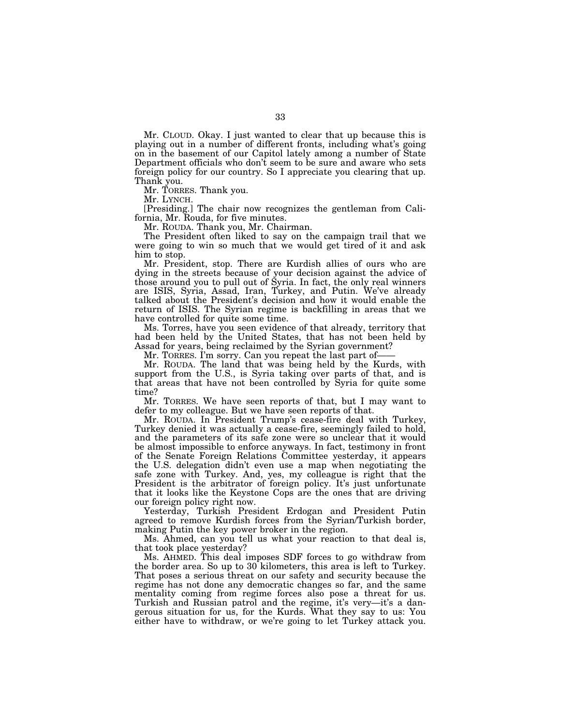Mr. CLOUD. Okay. I just wanted to clear that up because this is playing out in a number of different fronts, including what's going on in the basement of our Capitol lately among a number of State Department officials who don't seem to be sure and aware who sets foreign policy for our country. So I appreciate you clearing that up. Thank you.

Mr. TORRES. Thank you.

Mr. LYNCH. [Presiding.] The chair now recognizes the gentleman from California, Mr. Rouda, for five minutes.

Mr. ROUDA. Thank you, Mr. Chairman.

The President often liked to say on the campaign trail that we were going to win so much that we would get tired of it and ask him to stop.

Mr. President, stop. There are Kurdish allies of ours who are dying in the streets because of your decision against the advice of those around you to pull out of Syria. In fact, the only real winners are ISIS, Syria, Assad, Iran, Turkey, and Putin. We've already talked about the President's decision and how it would enable the return of ISIS. The Syrian regime is backfilling in areas that we have controlled for quite some time.

Ms. Torres, have you seen evidence of that already, territory that had been held by the United States, that has not been held by Assad for years, being reclaimed by the Syrian government?

Mr. TORRES. I'm sorry. Can you repeat the last part of-

Mr. ROUDA. The land that was being held by the Kurds, with support from the U.S., is Syria taking over parts of that, and is that areas that have not been controlled by Syria for quite some time?

Mr. TORRES. We have seen reports of that, but I may want to defer to my colleague. But we have seen reports of that.

Mr. ROUDA. In President Trump's cease-fire deal with Turkey, Turkey denied it was actually a cease-fire, seemingly failed to hold, and the parameters of its safe zone were so unclear that it would be almost impossible to enforce anyways. In fact, testimony in front of the Senate Foreign Relations Committee yesterday, it appears the U.S. delegation didn't even use a map when negotiating the safe zone with Turkey. And, yes, my colleague is right that the President is the arbitrator of foreign policy. It's just unfortunate that it looks like the Keystone Cops are the ones that are driving our foreign policy right now.

Yesterday, Turkish President Erdogan and President Putin agreed to remove Kurdish forces from the Syrian/Turkish border, making Putin the key power broker in the region.

Ms. Ahmed, can you tell us what your reaction to that deal is, that took place yesterday?

Ms. AHMED. This deal imposes SDF forces to go withdraw from the border area. So up to 30 kilometers, this area is left to Turkey. That poses a serious threat on our safety and security because the regime has not done any democratic changes so far, and the same mentality coming from regime forces also pose a threat for us. Turkish and Russian patrol and the regime, it's very—it's a dangerous situation for us, for the Kurds. What they say to us: You either have to withdraw, or we're going to let Turkey attack you.